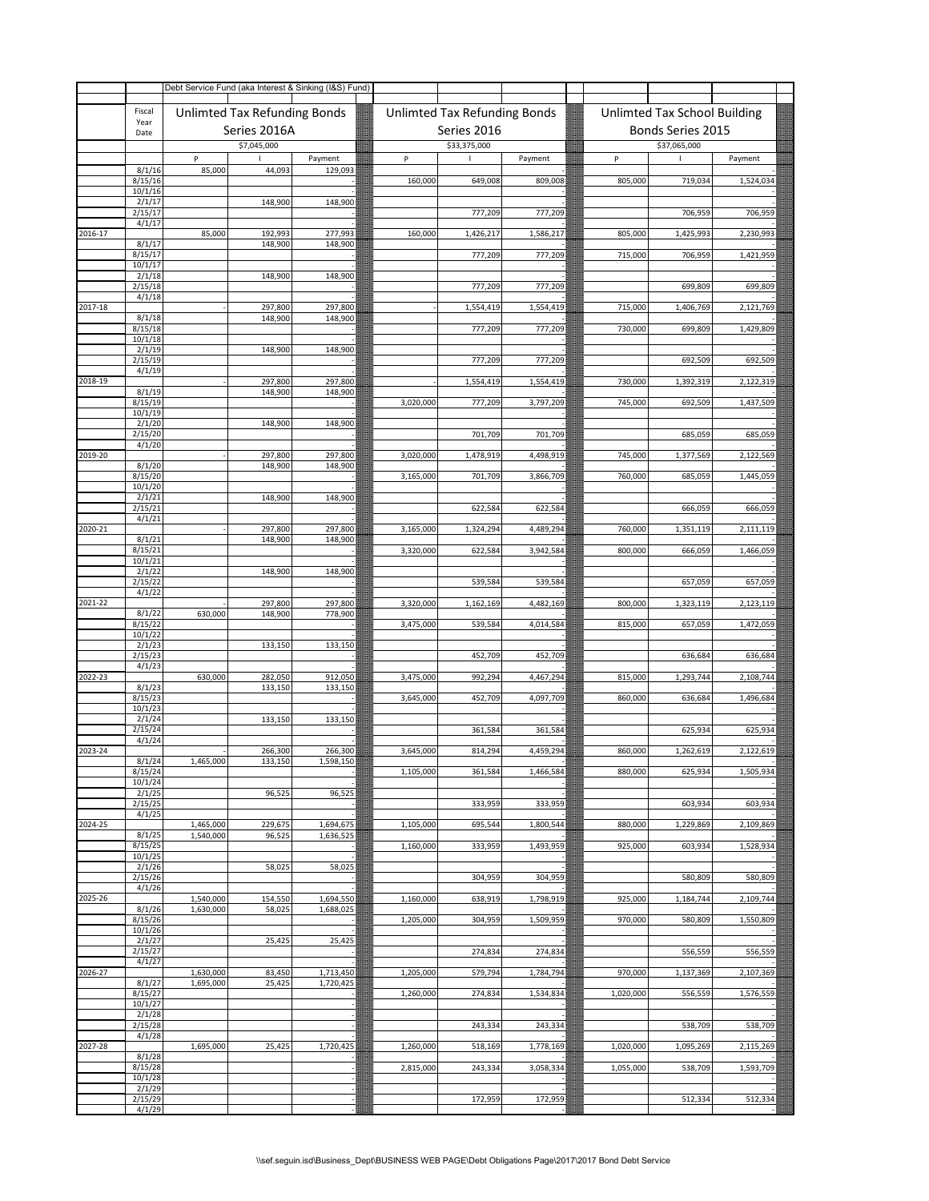|         |                              |                        | Debt Service Fund (aka Interest & Sinking (I&S) Fund) |                        |                        |                              |                        |                        |                              |                        |
|---------|------------------------------|------------------------|-------------------------------------------------------|------------------------|------------------------|------------------------------|------------------------|------------------------|------------------------------|------------------------|
|         | Fiscal<br>Year               |                        | Unlimted Tax Refunding Bonds                          |                        |                        | Unlimted Tax Refunding Bonds |                        |                        | Unlimted Tax School Building |                        |
|         | Date                         |                        | Series 2016A                                          |                        |                        | Series 2016                  |                        |                        | Bonds Series 2015            |                        |
|         |                              |                        | \$7,045,000                                           |                        |                        | \$33,375,000                 |                        |                        | \$37,065,000                 |                        |
|         | 8/1/16<br>8/15/16            | P<br>85,000            | 44,093                                                | Payment<br>129,093     | P<br>160,000           | 649,008                      | Payment<br>809,008     | P<br>805,000           | 719,034                      | Payment<br>1,524,034   |
|         | 10/1/16<br>2/1/17<br>2/15/17 |                        | 148,900                                               | 148,900                |                        | 777,209                      | 777,209                |                        | 706,959                      | 706,959                |
|         | 4/1/17                       |                        |                                                       |                        |                        |                              |                        |                        |                              |                        |
| 2016-17 | 8/1/17<br>8/15/17            | 85,000                 | 192,993<br>148,900                                    | 277,993<br>148,900     | 160,000                | 1,426,217<br>777,209         | 1,586,217<br>777,209   | 805,000<br>715,000     | 1,425,993<br>706,959         | 2,230,993<br>1,421,959 |
|         | 10/1/17<br>2/1/18<br>2/15/18 |                        | 148,900                                               | 148,900                |                        | 777,209                      | 777,209                |                        | 699,809                      | 699,809                |
|         | 4/1/18                       |                        |                                                       |                        |                        |                              |                        |                        |                              |                        |
| 2017-18 | 8/1/18<br>8/15/18            |                        | 297,800<br>148,900                                    | 297,800<br>148,900     |                        | 1,554,419<br>777,209         | 1,554,419<br>777,209   | 715,000<br>730,000     | 1,406,769<br>699,809         | 2,121,769<br>1,429,809 |
|         | 10/1/18                      |                        |                                                       |                        |                        |                              |                        |                        |                              |                        |
|         | 2/1/19<br>2/15/19<br>4/1/19  |                        | 148,900                                               | 148,900                |                        | 777,209                      | 777,209                |                        | 692,509                      | 692,509                |
| 2018-19 |                              |                        | 297,800                                               | 297,800                |                        | 1,554,419                    | 1,554,419              | 730,000                | 1,392,319                    | 2,122,319              |
|         | 8/1/19<br>8/15/19<br>10/1/19 |                        | 148,900                                               | 148,900                | 3,020,000              | 777,209                      | 3,797,209              | 745,000                | 692,509                      | 1,437,509              |
|         | 2/1/20                       |                        | 148,900                                               | 148,900                |                        |                              |                        |                        |                              |                        |
| 2019-20 | 2/15/20<br>4/1/20            |                        | 297,800                                               | 297,800                | 3,020,000              | 701,709<br>1,478,919         | 701,709<br>4,498,919   | 745,000                | 685,059<br>1,377,569         | 685,059<br>2,122,569   |
|         | 8/1/20                       |                        | 148,900                                               | 148,900                |                        |                              |                        |                        |                              |                        |
|         | 8/15/20<br>10/1/20<br>2/1/21 |                        | 148,900                                               | 148,900                | 3,165,000              | 701,709                      | 3,866,709              | 760,000                | 685,059                      | 1,445,059              |
|         | 2/15/21<br>4/1/21            |                        |                                                       |                        |                        | 622,584                      | 622,584                |                        | 666,059                      | 666,059                |
| 2020-21 | 8/1/21                       |                        | 297,800<br>148,900                                    | 297,800<br>148,900     | 3,165,000              | 1,324,294                    | 4,489,294              | 760,000                | 1,351,119                    | 2,111,119              |
|         | 8/15/21<br>10/1/21<br>2/1/22 |                        | 148,900                                               | 148,900                | 3,320,000              | 622,584                      | 3,942,584              | 800,000                | 666,059                      | 1,466,059              |
|         | 2/15/22<br>4/1/22            |                        |                                                       |                        |                        | 539,584                      | 539,584                |                        | 657,059                      | 657,059                |
| 2021-22 | 8/1/22                       | 630,000                | 297,800<br>148,900                                    | 297,800<br>778,900     | 3,320,000              | 1,162,169                    | 4,482,169              | 800,000                | 1,323,119                    | 2,123,119              |
|         | 8/15/22<br>10/1/22           |                        |                                                       |                        | 3,475,000              | 539,584                      | 4,014,584              | 815,000                | 657,059                      | 1,472,059              |
|         | 2/1/23<br>2/15/23<br>4/1/23  |                        | 133,150                                               | 133,150                |                        | 452,709                      | 452,709                |                        | 636,684                      | 636,684                |
| 2022-23 |                              | 630,000                | 282,050                                               | 912,050                | 3,475,000              | 992,294                      | 4,467,294              | 815,000                | 1,293,744                    | 2,108,744              |
|         | 8/1/23<br>8/15/23            |                        | 133,150                                               | 133,150                | 3,645,000              | 452,709                      | 4,097,709              | 860,000                | 636,684                      | 1,496,684              |
|         | 10/1/23<br>2/1/24            |                        | 133,150                                               | 133,150                |                        |                              |                        |                        |                              |                        |
|         | 2/15/24<br>4/1/24            |                        |                                                       |                        |                        | 361,584                      | 361,584                |                        | 625,934                      | 625,934                |
| 2023-24 | 8/1/24                       | 1,465,000              | 266,300<br>133,150                                    | 266,300<br>1,598,150   | 3.645.000              | 814,294                      | 4,459,294              | 860,000                | 1,262,619                    | 2,122,619              |
|         | 8/15/24<br>10/1/24<br>2/1/25 |                        | 96,525                                                | 96,525                 | 1,105,000              | 361,584                      | 1,466,584              | 880,000                | 625,934                      | 1,505,934              |
|         | 2/15/25                      |                        |                                                       |                        |                        | 333,959                      | 333,959                |                        | 603,934                      | 603,934                |
| 2024-25 | 4/1/25                       | 1,465,000              | 229,675                                               | 1,694,675              | 1,105,000              | 695,544                      | 1,800,544              | 880,000                | 1,229,869                    | 2,109,869              |
|         | 8/1/25<br>8/15/25<br>10/1/25 | 1,540,000              | 96,525                                                | 1,636,525              | 1,160,000              | 333,959                      | 1,493,959              | 925,000                | 603,934                      | 1,528,934              |
|         | 2/1/26<br>2/15/26            |                        | 58,025                                                | 58,025                 |                        | 304,959                      | 304,959                |                        | 580,809                      | 580,809                |
| 2025-26 | 4/1/26                       | 1,540,000              | 154,550                                               | 1,694,550              | 1,160,000              | 638,919                      | 1,798,919              | 925,000                | 1,184,744                    | 2,109,744              |
|         | 8/1/26<br>8/15/26            | 1,630,000              | 58,025                                                | 1,688,025              | 1,205,000              | 304,959                      | 1,509,959              | 970,000                | 580,809                      | 1,550,809              |
|         | 10/1/26<br>2/1/27<br>2/15/27 |                        | 25,425                                                | 25,425                 |                        | 274,834                      | 274,834                |                        | 556,559                      | 556,559                |
|         | 4/1/27                       |                        |                                                       |                        |                        |                              |                        |                        |                              |                        |
| 2026-27 | 8/1/27<br>8/15/27            | 1,630,000<br>1,695,000 | 83,450<br>25,425                                      | 1,713,450<br>1,720,425 | 1,205,000<br>1,260,000 | 579,794<br>274,834           | 1,784,794<br>1,534,834 | 970,000<br>1,020,000   | 1,137,369<br>556,559         | 2,107,369<br>1,576,559 |
|         | 10/1/27<br>2/1/28            |                        |                                                       |                        |                        |                              |                        |                        |                              |                        |
|         | 2/15/28<br>4/1/28            |                        |                                                       |                        |                        | 243,334                      | 243,334                |                        | 538,709                      | 538,709                |
| 2027-28 | 8/1/28<br>8/15/28            | 1,695,000              | 25,425                                                | 1,720,425              | 1,260,000<br>2,815,000 | 518,169<br>243,334           | 1,778,169<br>3,058,334 | 1,020,000<br>1,055,000 | 1,095,269<br>538,709         | 2,115,269<br>1,593,709 |
|         | 10/1/28<br>2/1/29            |                        |                                                       |                        |                        |                              |                        |                        |                              |                        |
|         | 2/15/29<br>4/1/29            |                        |                                                       |                        |                        | 172,959                      | 172,959                |                        | 512,334                      | 512,334                |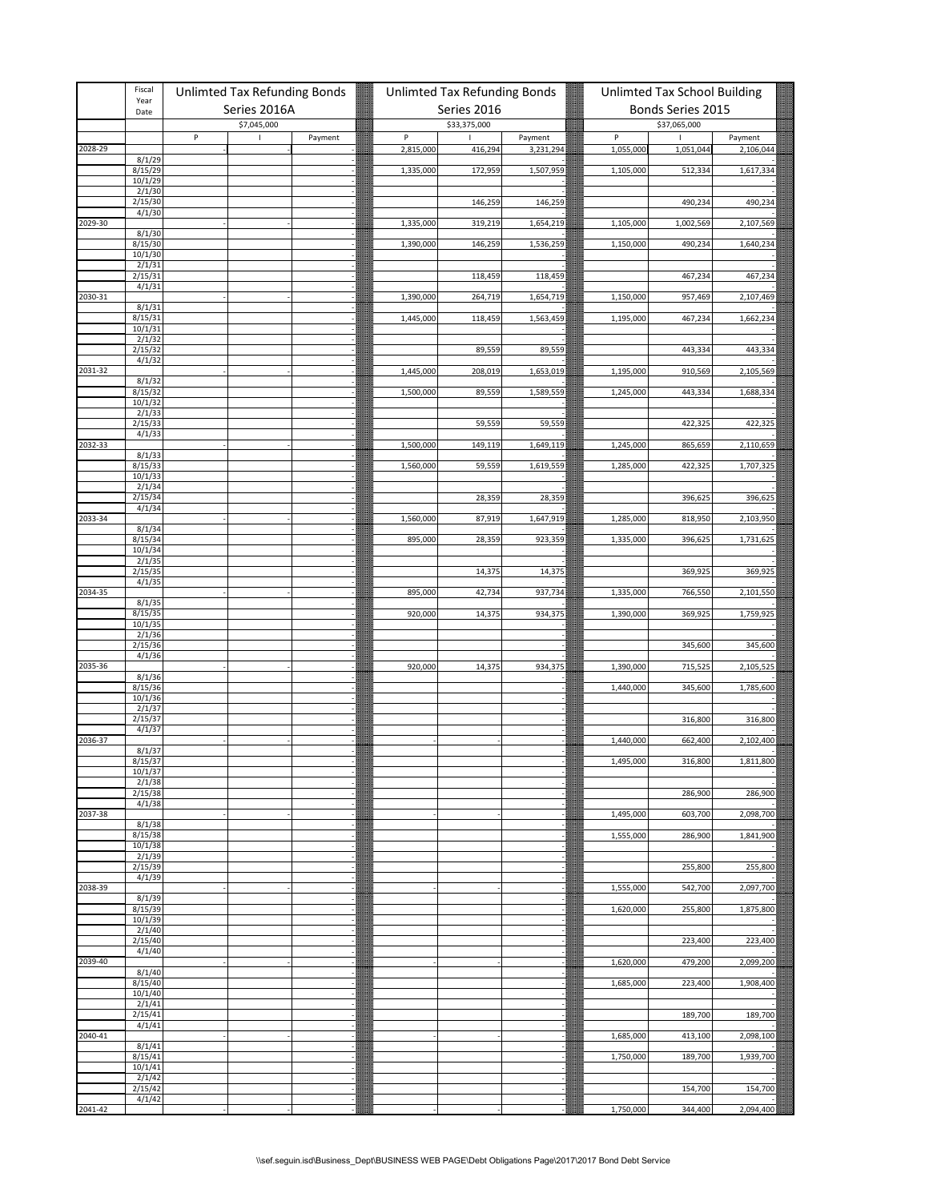|         | Fiscal<br>Year              | Unlimted Tax Refunding Bonds |         | <b>Unlimted Tax Refunding Bonds</b> |              |                      | Unlimted Tax School Building |                   |                      |
|---------|-----------------------------|------------------------------|---------|-------------------------------------|--------------|----------------------|------------------------------|-------------------|----------------------|
|         | Date                        | Series 2016A                 |         |                                     | Series 2016  |                      |                              | Bonds Series 2015 |                      |
|         |                             | \$7,045,000                  |         |                                     | \$33,375,000 |                      |                              | \$37,065,000      |                      |
| 2028-29 |                             | P<br>$\mathsf I$             | Payment | P<br>2,815,000                      | т<br>416,294 | Payment<br>3,231,294 | $\sf P$<br>1,055,000         | 1<br>1,051,044    | Payment<br>2,106,044 |
|         | 8/1/29                      |                              |         |                                     |              |                      |                              |                   |                      |
|         | 8/15/29                     |                              |         | 1,335,000                           | 172,959      | 1,507,959            | 1,105,000                    | 512,334           | 1,617,334            |
|         | 10/1/29<br>2/1/30           |                              |         |                                     |              |                      |                              |                   |                      |
|         | 2/15/30                     |                              |         |                                     | 146,259      | 146,259              |                              | 490,234           | 490,234              |
| 2029-30 | 4/1/30                      |                              |         | 1,335,000                           | 319,219      | 1,654,219            | 1,105,000                    |                   |                      |
|         | 8/1/30                      |                              |         |                                     |              |                      |                              | 1,002,569         | 2,107,569            |
|         | 8/15/30                     |                              |         | 1,390,000                           | 146,259      | 1,536,259            | 1,150,000                    | 490,234           | 1,640,234            |
|         | 10/1/30<br>2/1/31           |                              |         |                                     |              |                      |                              |                   |                      |
|         | 2/15/31                     |                              |         |                                     | 118,459      | 118,459              |                              | 467,234           | 467,234              |
| 2030-31 | 4/1/31                      |                              |         | 1,390,000                           | 264,719      | 1,654,719            | 1,150,000                    | 957,469           | 2,107,469            |
|         | 8/1/31                      |                              |         |                                     |              |                      |                              |                   |                      |
|         | 8/15/31<br>10/1/31          |                              |         | 1,445,000                           | 118,459      | 1,563,459            | 1,195,000                    | 467,234           | 1,662,234            |
|         | 2/1/32                      |                              |         |                                     |              |                      |                              |                   |                      |
|         | 2/15/32                     |                              |         |                                     | 89,559       | 89,559               |                              | 443,334           | 443,334              |
| 2031-32 | 4/1/32                      |                              |         | 1,445,000                           | 208,019      | 1,653,019            | 1,195,000                    | 910,569           | 2,105,569            |
|         | 8/1/32                      |                              |         |                                     |              |                      |                              |                   |                      |
|         | 8/15/32<br>10/1/32          |                              |         | 1,500,000                           | 89,559       | 1,589,559            | 1,245,000                    | 443,334           | 1,688,334            |
|         | 2/1/33                      |                              |         |                                     |              |                      |                              |                   |                      |
|         | 2/15/33<br>4/1/33           |                              |         |                                     | 59,559       | 59,559               |                              | 422,325           | 422,325              |
| 2032-33 |                             |                              |         | 1,500,000                           | 149,119      | 1,649,119            | 1,245,000                    | 865,659           | 2,110,659            |
|         | 8/1/33                      |                              |         |                                     |              |                      |                              |                   |                      |
|         | 8/15/33<br>10/1/33          |                              |         | 1,560,000                           | 59,559       | 1,619,559            | 1,285,000                    | 422,325           | 1,707,325            |
|         | 2/1/34                      |                              |         |                                     |              |                      |                              |                   |                      |
|         | 2/15/34<br>4/1/34           |                              |         |                                     | 28,359       | 28,359               |                              | 396,625           | 396,625              |
| 2033-34 |                             |                              |         | 1,560,000                           | 87,919       | 1,647,919            | 1,285,000                    | 818,950           | 2,103,950            |
|         | 8/1/34<br>8/15/34           |                              |         | 895,000                             | 28,359       | 923,359              | 1,335,000                    | 396,625           | 1,731,625            |
|         | 10/1/34                     |                              |         |                                     |              |                      |                              |                   |                      |
|         | 2/1/35                      |                              |         |                                     |              |                      |                              |                   |                      |
|         | 2/15/35<br>4/1/35           |                              |         |                                     | 14,375       | 14,375               |                              | 369,925           | 369,925              |
| 2034-35 |                             |                              |         | 895,000                             | 42,734       | 937,734              | 1,335,000                    | 766,550           | 2,101,550            |
|         | 8/1/35<br>8/15/35           |                              |         | 920,000                             | 14,375       | 934,375              | 1,390,000                    | 369,925           | 1,759,925            |
|         | 10/1/35                     |                              |         |                                     |              |                      |                              |                   |                      |
|         | $\frac{2}{1/36}$<br>2/15/36 |                              |         |                                     |              |                      |                              |                   |                      |
|         | 4/1/36                      |                              |         |                                     |              |                      |                              | 345,600           | 345,600              |
| 2035-36 |                             |                              |         | 920,000                             | 14,375       | 934,375              | 1,390,000                    | 715,525           | 2,105,525            |
|         | $\frac{8/1/36}{8/15/36}$    |                              |         |                                     |              |                      | 1,440,000                    | 345,600           | 1,785,600            |
|         | 10/1/36                     |                              |         |                                     |              |                      |                              |                   |                      |
|         | 2/1/37<br>2/15/37           |                              |         |                                     |              |                      |                              | 316,800           | 316,800              |
|         | 4/1/37                      |                              |         |                                     |              |                      |                              |                   |                      |
| 2036-37 | 8/1/37                      |                              |         |                                     |              |                      | 1,440,000                    | 662,400           | 2,102,400            |
|         | 8/15/37                     |                              |         |                                     |              |                      | 1.495.000                    | 316,800           | 1.811.800            |
|         | 10/1/37                     |                              |         |                                     |              |                      |                              |                   |                      |
|         | 2/1/38<br>2/15/38           |                              |         |                                     |              |                      |                              | 286,900           | 286,900              |
|         | 4/1/38                      |                              |         |                                     |              |                      |                              |                   |                      |
| 2037-38 | 8/1/38                      |                              |         |                                     |              |                      | 1,495,000                    | 603,700           | 2,098,700            |
|         | 8/15/38                     |                              |         |                                     |              |                      | 1,555,000                    | 286,900           | 1,841,900            |
|         | 10/1/38<br>2/1/39           |                              |         |                                     |              |                      |                              |                   |                      |
|         | 2/15/39                     |                              |         |                                     |              |                      |                              | 255,800           | 255,800              |
| 2038-39 | 4/1/39                      |                              |         |                                     |              |                      | 1,555,000                    | 542,700           | 2,097,700            |
|         | 8/1/39                      |                              |         |                                     |              |                      |                              |                   |                      |
|         | 8/15/39                     |                              |         |                                     |              |                      | 1,620,000                    | 255,800           | 1,875,800            |
|         | 10/1/39<br>2/1/40           |                              |         |                                     |              |                      |                              |                   |                      |
|         | 2/15/40                     |                              |         |                                     |              |                      |                              | 223,400           | 223,400              |
| 2039-40 | 4/1/40                      |                              |         |                                     |              |                      | 1,620,000                    | 479,200           | 2,099,200            |
|         | 8/1/40                      |                              |         |                                     |              |                      |                              |                   |                      |
|         | 8/15/40<br>10/1/40          |                              |         |                                     |              |                      | 1,685,000                    | 223,400           | 1,908,400            |
|         | 2/1/41                      |                              |         |                                     |              |                      |                              |                   |                      |
|         | 2/15/41                     |                              |         |                                     |              |                      |                              | 189,700           | 189,700              |
| 2040-41 | 4/1/41                      |                              |         |                                     |              |                      | 1,685,000                    | 413,100           | 2,098,100            |
|         | 8/1/41                      |                              |         |                                     |              |                      |                              |                   |                      |
|         | 8/15/41<br>10/1/41          |                              |         |                                     |              |                      | 1,750,000                    | 189,700           | 1,939,700            |
|         | 2/1/42                      |                              |         |                                     |              |                      |                              |                   |                      |
|         | 2/15/42<br>4/1/42           |                              |         |                                     |              |                      |                              | 154,700           | 154,700              |
| 2041-42 |                             |                              |         |                                     |              |                      | 1,750,000                    | 344,400           | 2,094,400            |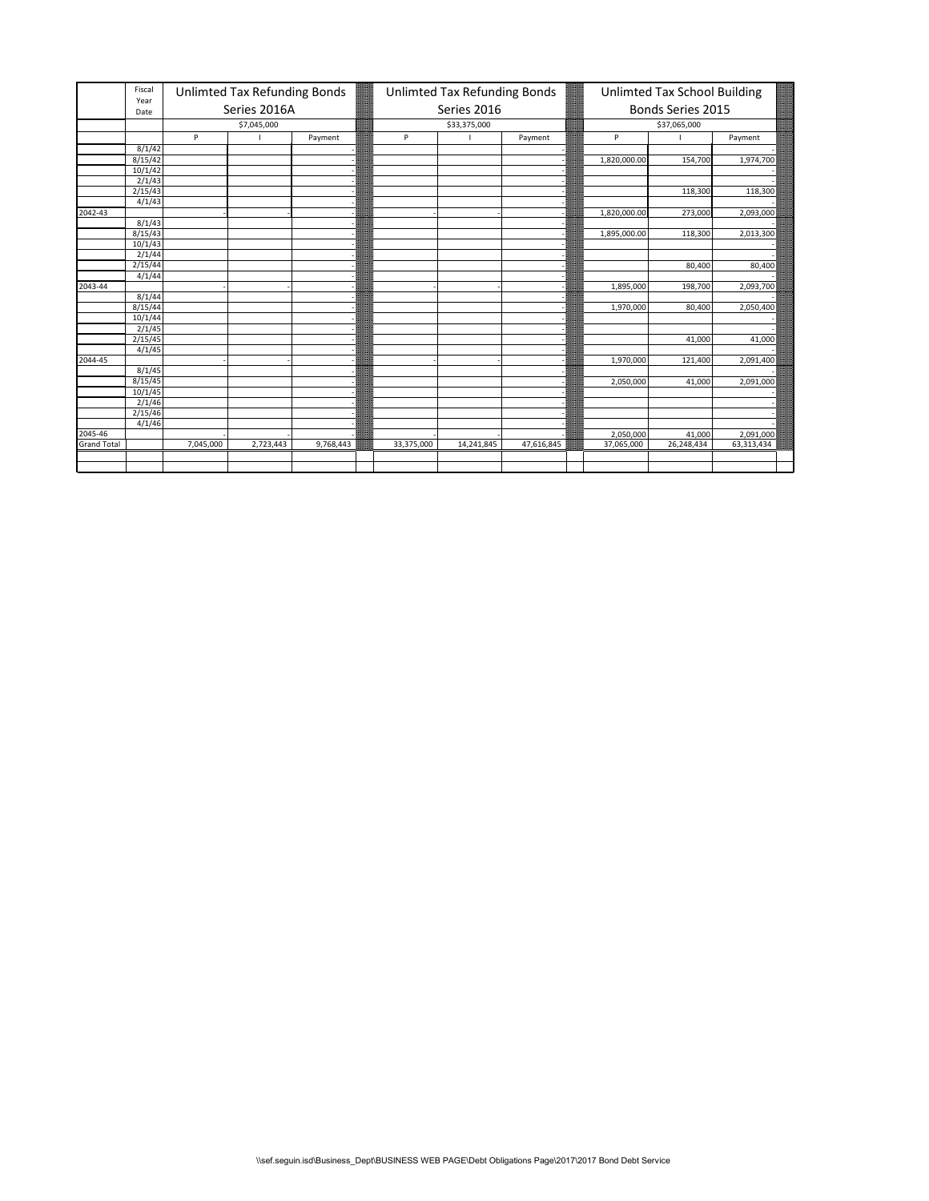|                        | Fiscal<br>Year |           | Unlimted Tax Refunding Bonds |           |            | Unlimted Tax Refunding Bonds |            |              | Unlimted Tax School Building |            |
|------------------------|----------------|-----------|------------------------------|-----------|------------|------------------------------|------------|--------------|------------------------------|------------|
|                        | Date           |           | Series 2016A                 |           |            | Series 2016                  |            |              | Bonds Series 2015            |            |
|                        |                |           | \$7,045,000                  |           |            | \$33,375,000                 |            |              | \$37,065,000                 |            |
|                        |                | P         |                              | Payment   | P          |                              | Payment    | P            |                              | Payment    |
|                        | 8/1/42         |           |                              |           |            |                              |            |              |                              |            |
|                        | 8/15/42        |           |                              |           |            |                              |            | 1,820,000.00 | 154,700                      | 1,974,700  |
|                        | 10/1/42        |           |                              |           |            |                              |            |              |                              |            |
|                        | 2/1/43         |           |                              |           |            |                              |            |              |                              |            |
|                        | 2/15/43        |           |                              |           |            |                              |            |              | 118,300                      | 118,300    |
|                        | 4/1/43         |           |                              |           |            |                              |            |              |                              |            |
| 2042-43                |                |           |                              |           |            |                              |            | 1,820,000.00 | 273,000                      | 2,093,000  |
|                        | 8/1/43         |           |                              |           |            |                              |            |              |                              |            |
|                        | 8/15/43        |           |                              |           |            |                              |            | 1,895,000.00 | 118,300                      | 2,013,300  |
|                        | 10/1/43        |           |                              |           |            |                              |            |              |                              |            |
|                        | 2/1/44         |           |                              |           |            |                              |            |              |                              |            |
|                        | 2/15/44        |           |                              |           |            |                              |            |              | 80,400                       | 80,400     |
|                        | 4/1/44         |           |                              |           |            |                              |            |              |                              |            |
| 2043-44                |                |           |                              |           |            |                              |            | 1,895,000    | 198,700                      | 2,093,700  |
|                        | 8/1/44         |           |                              |           |            |                              |            |              |                              |            |
|                        | 8/15/44        |           |                              |           |            |                              |            | 1,970,000    | 80,400                       | 2,050,400  |
|                        | 10/1/44        |           |                              |           |            |                              |            |              |                              |            |
|                        | 2/1/45         |           |                              |           |            |                              |            |              |                              |            |
|                        | 2/15/45        |           |                              |           |            |                              |            |              | 41,000                       | 41,000     |
|                        | 4/1/45         |           |                              |           |            |                              |            |              |                              |            |
| 2044-45                |                |           |                              |           |            |                              |            | 1,970,000    | 121,400                      | 2,091,400  |
|                        | 8/1/45         |           |                              |           |            |                              |            |              |                              |            |
|                        | 8/15/45        |           |                              |           |            |                              |            | 2,050,000    | 41,000                       | 2,091,000  |
|                        | 10/1/45        |           |                              |           |            |                              |            |              |                              |            |
|                        | 2/1/46         |           |                              |           |            |                              |            |              |                              |            |
|                        | 2/15/46        |           |                              |           |            |                              |            |              |                              |            |
|                        | 4/1/46         |           |                              |           |            |                              |            |              |                              |            |
|                        |                |           |                              |           |            |                              |            | 2,050,000    | 41,000                       | 2,091,000  |
| 2045-46<br>Grand Total |                | 7,045,000 | 2,723,443                    | 9,768,443 | 33,375,000 | 14,241,845                   | 47,616,845 | 37,065,000   | 26,248,434                   | 63,313,434 |
|                        |                |           |                              |           |            |                              |            |              |                              |            |
|                        |                |           |                              |           |            |                              |            |              |                              |            |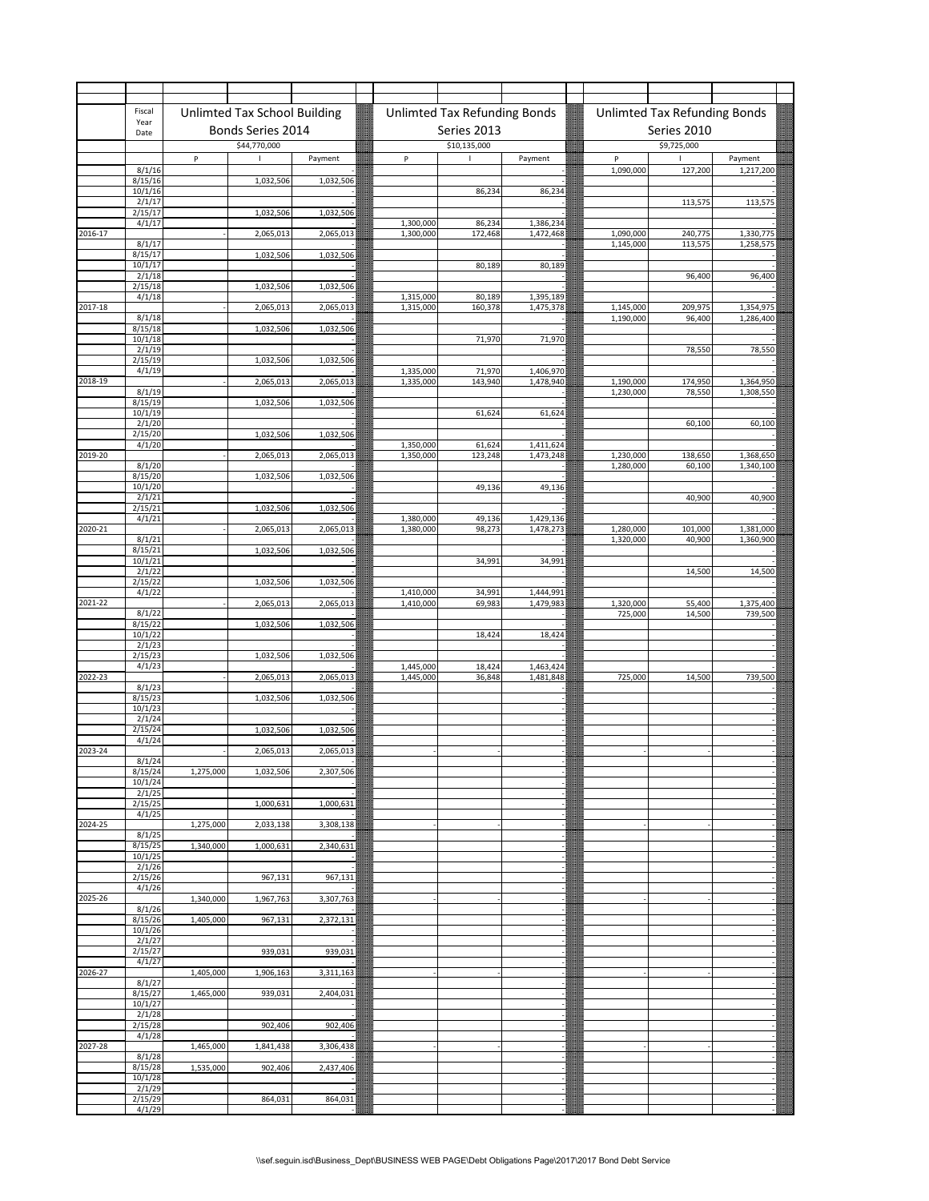|             | Fiscal             |              | Unlimted Tax School Building |           |                        | Unlimted Tax Refunding Bonds |                        |                        | Unlimted Tax Refunding Bonds |                        |  |
|-------------|--------------------|--------------|------------------------------|-----------|------------------------|------------------------------|------------------------|------------------------|------------------------------|------------------------|--|
|             | Year<br>Date       |              | Bonds Series 2014            |           |                        | Series 2013                  |                        |                        | Series 2010                  |                        |  |
|             |                    |              | \$44,770,000                 |           |                        | \$10,135,000                 |                        |                        | \$9,725,000                  |                        |  |
|             |                    | $\mathsf{P}$ |                              | Payment   | $\sf P$                |                              | Payment                | $\sf P$                |                              | Payment                |  |
|             | 8/1/16<br>8/15/16  |              | 1,032,506                    | 1,032,506 |                        |                              |                        | 1,090,000              | 127,200                      | 1,217,200              |  |
|             | 10/1/16            |              |                              |           |                        | 86,234                       | 86,234                 |                        |                              |                        |  |
|             | 2/1/17<br>2/15/17  |              | 1,032,506                    | 1,032,506 |                        |                              |                        |                        | 113,575                      | 113,575                |  |
|             | 4/1/17             |              |                              |           | 1,300,000              | 86,234                       | 1,386,234              |                        |                              |                        |  |
| 2016-17     | 8/1/17             |              | 2,065,013                    | 2,065,013 | 1,300,000              | 172,468                      | 1,472,468              | 1,090,000<br>1,145,000 | 240,775<br>113,575           | 1,330,775<br>1,258,575 |  |
|             | 8/15/17            |              | 1,032,506                    | 1,032,506 |                        |                              |                        |                        |                              |                        |  |
|             | 10/1/17<br>2/1/18  |              |                              |           |                        | 80,189                       | 80,189                 |                        | 96,400                       | 96,400                 |  |
|             | 2/15/18            |              | 1,032,506                    | 1,032,506 |                        |                              |                        |                        |                              |                        |  |
| 2017-18     | 4/1/18             |              | 2,065,013                    | 2,065,013 | 1,315,000<br>1,315,000 | 80,189<br>160,378            | 1,395,189<br>1,475,378 | 1,145,000              | 209,975                      | 1,354,975              |  |
|             | 8/1/18             |              |                              |           |                        |                              |                        | 1,190,000              | 96,400                       | 1,286,400              |  |
|             | 8/15/18<br>10/1/18 |              | 1,032,506                    | 1,032,506 |                        | 71,970                       | 71,970                 |                        |                              |                        |  |
|             | 2/1/19<br>2/15/19  |              |                              |           |                        |                              |                        |                        | 78,550                       | 78,550                 |  |
|             | 4/1/19             |              | 1,032,506                    | 1,032,506 | 1,335,000              | 71,970                       | 1,406,970              |                        |                              |                        |  |
| 2018-19     |                    |              | 2,065,013                    | 2,065,013 | 1,335,000              | 143,940                      | 1,478,940              | 1,190,000<br>1,230,000 | 174,950<br>78,550            | 1,364,950<br>1,308,550 |  |
|             | 8/1/19<br>8/15/19  |              | 1,032,506                    | 1,032,506 |                        |                              |                        |                        |                              |                        |  |
|             | 10/1/19<br>2/1/20  |              |                              |           |                        | 61,624                       | 61,624                 |                        | 60,100                       | 60,100                 |  |
|             | 2/15/20            |              | 1,032,506                    | 1,032,506 |                        |                              |                        |                        |                              |                        |  |
| 2019-20     | 4/1/20             |              | 2,065,013                    | 2,065,013 | 1,350,000<br>1,350,000 | 61,624<br>123,248            | 1,411,624<br>1,473,248 | 1,230,000              | 138,650                      | 1,368,650              |  |
|             | 8/1/20             |              |                              |           |                        |                              |                        | 1,280,000              | 60,100                       | 1,340,100              |  |
|             | 8/15/20<br>10/1/20 |              | 1,032,506                    | 1,032,506 |                        | 49,136                       | 49,136                 |                        |                              |                        |  |
|             | 2/1/21             |              |                              |           |                        |                              |                        |                        | 40,900                       | 40,900                 |  |
|             | 2/15/21<br>4/1/21  |              | 1,032,506                    | 1,032,506 | 1,380,000              | 49,136                       | 1,429,136              |                        |                              |                        |  |
| $2020 - 21$ |                    |              | 2,065,013                    | 2,065,013 | 1,380,000              | 98,273                       | 1,478,273              | 1,280,000              | 101,000                      | 1,381,000              |  |
|             | 8/1/21<br>8/15/21  |              | 1,032,506                    | 1,032,506 |                        |                              |                        | 1,320,000              | 40,900                       | 1,360,900              |  |
|             | 10/1/21            |              |                              |           |                        | 34,991                       | 34,991                 |                        |                              |                        |  |
|             | 2/1/22<br>2/15/22  |              | 1,032,506                    | 1,032,506 |                        |                              |                        |                        | 14,500                       | 14,500                 |  |
| 2021-22     | 4/1/22             |              | 2,065,013                    | 2,065,013 | 1,410,000              | 34,991<br>69,983             | 1,444,991              | 1,320,000              |                              | 1,375,400              |  |
|             | 8/1/22             |              |                              |           | 1,410,000              |                              | 1,479,983              | 725,000                | 55,400<br>14,500             | 739,500                |  |
|             | 8/15/22<br>10/1/22 |              | 1,032,506                    | 1,032,506 |                        | 18,424                       | 18,424                 |                        |                              |                        |  |
|             | 2/1/23             |              |                              |           |                        |                              |                        |                        |                              |                        |  |
|             | 2/15/23<br>4/1/23  |              | 1,032,506                    | 1,032,506 | 1,445,000              | 18,424                       | 1,463,424              |                        |                              |                        |  |
| 2022-23     |                    |              | 2,065,013                    | 2,065,013 | 1,445,000              | 36,848                       | 1,481,848              | 725,000                | 14,500                       | 739,500                |  |
|             | 8/1/23<br>8/15/23  |              | 1,032,506                    | 1,032,506 |                        |                              |                        |                        |                              |                        |  |
|             | 10/1/23            |              |                              |           |                        |                              |                        |                        |                              |                        |  |
|             | 2/1/24<br>2/15/24  |              | 1,032,506                    | 1,032,506 |                        |                              |                        |                        |                              |                        |  |
| 2023-24     | 4/1/24             |              | 2,065,013                    | 2,065,013 |                        |                              |                        |                        |                              |                        |  |
|             | 8/1/24             |              |                              |           |                        |                              |                        |                        |                              |                        |  |
|             | 8/15/24<br>10/1/24 | 1,275,000    | 1,032,506                    | 2,307,506 |                        |                              |                        |                        |                              |                        |  |
|             | 2/1/25             |              |                              |           |                        |                              |                        |                        |                              |                        |  |
|             | 2/15/25<br>4/1/25  |              | 1,000,631                    | 1,000,631 |                        |                              |                        |                        |                              |                        |  |
| 2024-25     |                    | 1,275,000    | 2,033,138                    | 3,308,138 |                        |                              |                        |                        |                              |                        |  |
|             | 8/1/25<br>8/15/25  | 1,340,000    | 1,000,631                    | 2,340,631 |                        |                              |                        |                        |                              |                        |  |
|             | 10/1/25            |              |                              |           |                        |                              |                        |                        |                              |                        |  |
|             | 2/1/26<br>2/15/26  |              | 967,131                      | 967,131   |                        |                              |                        |                        |                              |                        |  |
| 2025-26     | 4/1/26             | 1,340,000    | 1,967,763                    | 3,307,763 |                        |                              |                        |                        |                              |                        |  |
|             | 8/1/26             |              |                              |           |                        |                              |                        |                        |                              |                        |  |
|             | 8/15/26<br>10/1/26 | 1,405,000    | 967,131                      | 2,372,131 |                        |                              |                        |                        |                              |                        |  |
|             | 2/1/27             |              |                              |           |                        |                              |                        |                        |                              |                        |  |
|             | 2/15/27<br>4/1/27  |              | 939,031                      | 939,031   |                        |                              |                        |                        |                              |                        |  |
| 2026-27     |                    | 1,405,000    | 1,906,163                    | 3,311,163 |                        |                              |                        |                        |                              |                        |  |
|             | 8/1/27<br>8/15/27  | 1,465,000    | 939,031                      | 2,404,031 |                        |                              |                        |                        |                              |                        |  |
|             | 10/1/27            |              |                              |           |                        |                              |                        |                        |                              |                        |  |
|             | 2/1/28<br>2/15/28  |              | 902,406                      | 902,406   |                        |                              |                        |                        |                              |                        |  |
|             | 4/1/28             |              |                              |           |                        |                              |                        |                        |                              |                        |  |
| 2027-28     | 8/1/28             | 1,465,000    | 1,841,438                    | 3,306,438 |                        |                              |                        |                        |                              |                        |  |
|             | 8/15/28<br>10/1/28 | 1,535,000    | 902,406                      | 2,437,406 |                        |                              |                        |                        |                              |                        |  |
|             | 2/1/29             |              |                              |           |                        |                              |                        |                        |                              |                        |  |
|             | 2/15/29<br>4/1/29  |              | 864,031                      | 864,031   |                        |                              |                        |                        |                              |                        |  |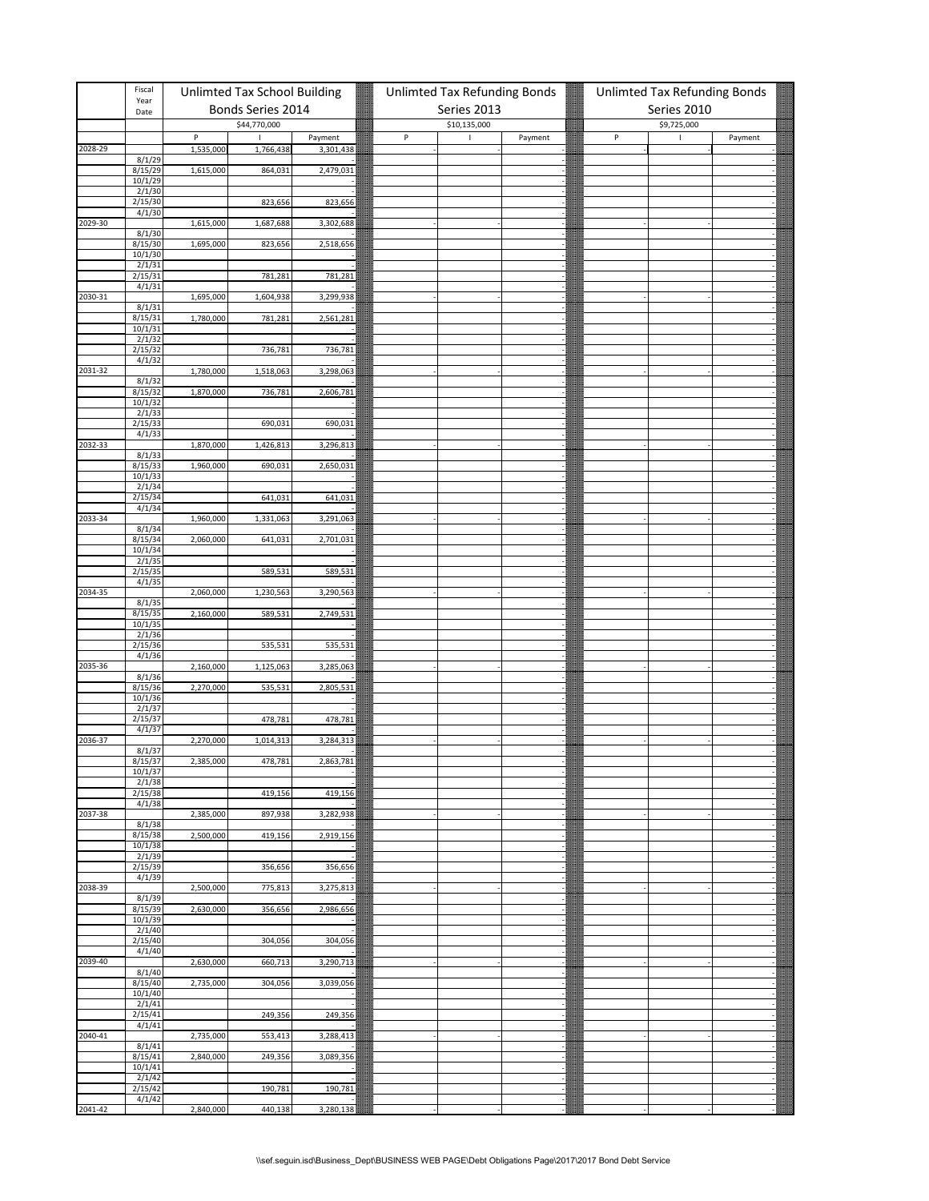|         | Fiscal<br>Year                |                | Unlimted Tax School Building |                      | Unlimted Tax Refunding Bonds |              |         | Unlimted Tax Refunding Bonds |              |         |
|---------|-------------------------------|----------------|------------------------------|----------------------|------------------------------|--------------|---------|------------------------------|--------------|---------|
|         | Date                          |                | Bonds Series 2014            |                      |                              | Series 2013  |         |                              | Series 2010  |         |
|         |                               |                | \$44,770,000                 |                      |                              | \$10,135,000 |         |                              | \$9,725,000  |         |
| 2028-29 |                               | P<br>1,535,000 | ı<br>1,766,438               | Payment<br>3,301,438 | P                            | $\mathsf I$  | Payment | $\sf P$                      | $\mathbf{I}$ | Payment |
|         | 8/1/29                        |                |                              |                      |                              |              |         |                              |              |         |
|         | 8/15/29<br>10/1/29            | 1,615,000      | 864,031                      | 2,479,031            |                              |              |         |                              |              |         |
|         | 2/1/30                        |                |                              |                      |                              |              |         |                              |              |         |
|         | 2/15/30                       |                | 823,656                      | 823,656              |                              |              |         |                              |              |         |
| 2029-30 | 4/1/30                        | 1,615,000      | 1,687,688                    | 3,302,688            |                              |              |         |                              |              |         |
|         | 8/1/30                        |                |                              |                      |                              |              |         |                              |              |         |
|         | 8/15/30<br>10/1/30            | 1,695,000      | 823,656                      | 2,518,656            |                              |              |         |                              |              |         |
|         | 2/1/31                        |                |                              |                      |                              |              |         |                              |              |         |
|         | 2/15/31<br>4/1/31             |                | 781,281                      | 781,281              |                              |              |         |                              |              |         |
| 2030-31 |                               | 1,695,000      | 1,604,938                    | 3,299,938            |                              |              |         |                              |              |         |
|         | 8/1/31                        |                |                              |                      |                              |              |         |                              |              |         |
|         | 8/15/31<br>10/1/31            | 1,780,000      | 781,281                      | 2,561,281            |                              |              |         |                              |              |         |
|         | 2/1/32                        |                |                              |                      |                              |              |         |                              |              |         |
|         | 2/15/32<br>4/1/32             |                | 736,781                      | 736,781              |                              |              |         |                              |              |         |
| 2031-32 |                               | 1,780,000      | 1,518,063                    | 3,298,063            |                              |              |         |                              |              |         |
|         | 8/1/32<br>8/15/32             | 1,870,000      | 736,781                      | 2,606,781            |                              |              |         |                              |              |         |
|         | 10/1/32                       |                |                              |                      |                              |              |         |                              |              |         |
|         | 2/1/33                        |                |                              |                      |                              |              |         |                              |              |         |
|         | 2/15/33<br>4/1/33             |                | 690,031                      | 690,031              |                              |              |         |                              |              |         |
| 2032-33 |                               | 1,870,000      | 1,426,813                    | 3,296,813            |                              |              |         |                              |              |         |
|         | 8/1/33<br>8/15/33             | 1,960,000      | 690,031                      | 2,650,031            |                              |              |         |                              |              |         |
|         | 10/1/33                       |                |                              |                      |                              |              |         |                              |              |         |
|         | 2/1/34<br>$\frac{1}{2}/15/34$ |                | 641,031                      | 641,031              |                              |              |         |                              |              |         |
|         | 4/1/34                        |                |                              |                      |                              |              |         |                              |              |         |
| 2033-34 | 8/1/34                        | 1,960,000      | 1,331,063                    | 3,291,063            |                              |              |         |                              |              |         |
|         | 8/15/34                       | 2,060,000      | 641,031                      | 2,701,031            |                              |              |         |                              |              |         |
|         | 10/1/34                       |                |                              |                      |                              |              |         |                              |              |         |
|         | 2/1/35<br>2/15/35             |                | 589,531                      | 589,531              |                              |              |         |                              |              |         |
|         | 4/1/35                        |                |                              |                      |                              |              |         |                              |              |         |
| 2034-35 | 8/1/35                        | 2,060,000      | 1,230,563                    | 3,290,563            |                              |              |         |                              |              |         |
|         | 8/15/35                       | 2,160,000      | 589,531                      | 2,749,531            |                              |              |         |                              |              |         |
|         | 10/1/35                       |                |                              |                      |                              |              |         |                              |              |         |
|         | 2/1/36<br>2/15/36             |                | 535,531                      | 535,531              |                              |              |         |                              |              |         |
|         | 4/1/36                        |                |                              |                      |                              |              |         |                              |              |         |
| 2035-36 | 8/1/36                        | 2,160,000      | 1,125,063                    | 3,285,063            |                              |              |         |                              |              |         |
|         | 8/15/36                       | 2,270,000      | 535,531                      | 2,805,531            |                              |              |         |                              |              |         |
|         | 10/1/36<br>2/1/37             |                |                              |                      |                              |              |         |                              |              |         |
|         | 2/15/37                       |                | 478,781                      | 478,781              |                              |              |         |                              |              |         |
| 2036-37 | 4/1/37                        |                | 1,014,313                    |                      |                              |              |         |                              |              |         |
|         | 8/1/37                        | 2,270,000      |                              | 3,284,313            |                              |              |         |                              |              |         |
|         | 8/15/37                       | 2.385.000      | 478.781                      | 2.863.781            |                              |              |         |                              |              |         |
|         | 10/1/37<br>2/1/38             |                |                              |                      |                              |              |         |                              |              |         |
|         | 2/15/38                       |                | 419,156                      | 419,156              |                              |              |         |                              |              |         |
| 2037-38 | 4/1/38                        | 2,385,000      | 897,938                      | 3,282,938            |                              |              |         |                              |              |         |
|         | 8/1/38                        |                |                              |                      |                              |              |         |                              |              |         |
|         | 8/15/38<br>10/1/38            | 2,500,000      | 419,156                      | 2,919,156            |                              |              |         |                              |              |         |
|         | 2/1/39                        |                |                              |                      |                              |              |         |                              |              |         |
|         | 2/15/39<br>4/1/39             |                | 356,656                      | 356,656              |                              |              |         |                              |              |         |
| 2038-39 |                               | 2,500,000      | 775,813                      | 3,275,813            |                              |              |         |                              |              |         |
|         | 8/1/39                        |                |                              |                      |                              |              |         |                              |              |         |
|         | 8/15/39<br>10/1/39            | 2,630,000      | 356,656                      | 2,986,656            |                              |              |         |                              |              |         |
|         | 2/1/40                        |                |                              |                      |                              |              |         |                              |              |         |
|         | 2/15/40<br>4/1/40             |                | 304,056                      | 304,056              |                              |              |         |                              |              |         |
| 2039-40 |                               | 2,630,000      | 660,713                      | 3,290,713            |                              |              |         |                              |              |         |
|         | 8/1/40<br>8/15/40             | 2,735,000      | 304,056                      | 3,039,056            |                              |              |         |                              |              |         |
|         | 10/1/40                       |                |                              |                      |                              |              |         |                              |              |         |
|         | 2/1/41                        |                |                              |                      |                              |              |         |                              |              |         |
|         | 2/15/41<br>4/1/41             |                | 249,356                      | 249,356              |                              |              |         |                              |              |         |
| 2040-41 |                               | 2,735,000      | 553,413                      | 3,288,413            |                              |              |         |                              |              |         |
|         | 8/1/41<br>8/15/41             | 2,840,000      | 249,356                      | 3,089,356            |                              |              |         |                              |              |         |
|         | 10/1/41                       |                |                              |                      |                              |              |         |                              |              |         |
|         | 2/1/42<br>2/15/42             |                |                              |                      |                              |              |         |                              |              |         |
|         | 4/1/42                        |                | 190,781                      | 190,781              |                              |              |         |                              |              |         |
| 2041-42 |                               | 2,840,000      | 440,138                      | 3,280,138            |                              |              |         |                              |              |         |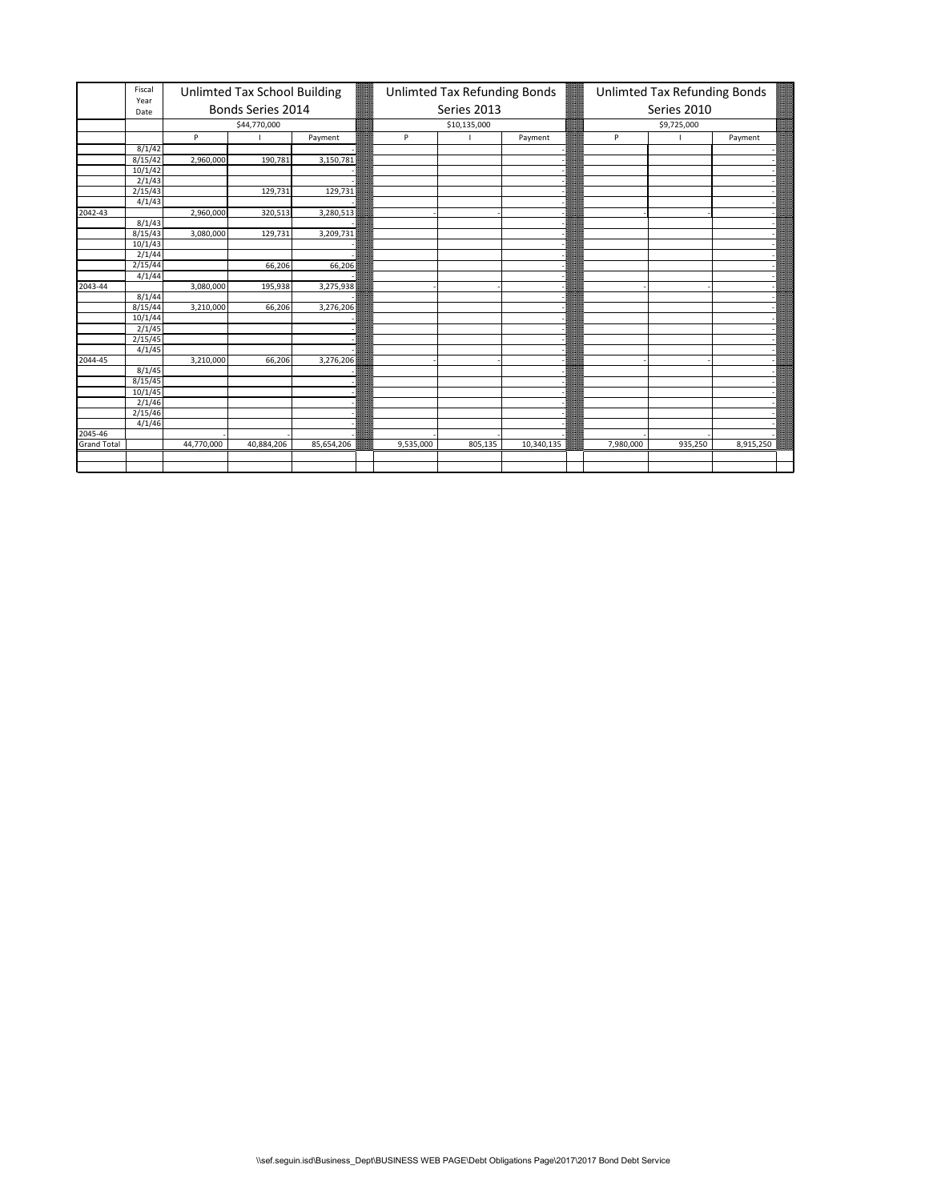|                    | Fiscal       |            | Unlimted Tax School Building |            |           | Unlimted Tax Refunding Bonds |            |           |                                                                 |           |  |  |
|--------------------|--------------|------------|------------------------------|------------|-----------|------------------------------|------------|-----------|-----------------------------------------------------------------|-----------|--|--|
|                    | Year<br>Date |            | Bonds Series 2014            |            |           | Series 2013                  |            |           |                                                                 |           |  |  |
|                    |              |            | \$44,770,000                 |            |           | \$10,135,000                 |            |           | Unlimted Tax Refunding Bonds<br>Series 2010<br>\$9,725,000<br>P |           |  |  |
|                    |              | P          |                              | Payment    | P         |                              | Payment    |           |                                                                 | Payment   |  |  |
|                    | 8/1/42       |            |                              |            |           |                              |            |           |                                                                 |           |  |  |
|                    | 8/15/42      | 2,960,000  | 190,781                      | 3,150,781  |           |                              |            |           |                                                                 |           |  |  |
|                    | 10/1/42      |            |                              |            |           |                              |            |           |                                                                 |           |  |  |
|                    | 2/1/43       |            |                              |            |           |                              |            |           |                                                                 |           |  |  |
|                    | 2/15/43      |            | 129,731                      | 129,731    |           |                              |            |           |                                                                 |           |  |  |
|                    | 4/1/43       |            |                              |            |           |                              |            |           |                                                                 |           |  |  |
| 2042-43            |              | 2,960,000  | 320,513                      | 3,280,513  |           |                              |            |           |                                                                 |           |  |  |
|                    | 8/1/43       |            |                              |            |           |                              |            |           |                                                                 |           |  |  |
|                    | 8/15/43      | 3,080,000  | 129,731                      | 3,209,731  |           |                              |            |           |                                                                 |           |  |  |
|                    | 10/1/43      |            |                              |            |           |                              |            |           |                                                                 |           |  |  |
|                    | 2/1/44       |            |                              |            |           |                              |            |           |                                                                 |           |  |  |
|                    | 2/15/44      |            | 66,206                       | 66,206     |           |                              |            |           |                                                                 |           |  |  |
|                    | 4/1/44       |            |                              |            |           |                              |            |           |                                                                 |           |  |  |
| 2043-44            |              | 3,080,000  | 195,938                      | 3,275,938  |           |                              |            |           |                                                                 |           |  |  |
|                    | 8/1/44       |            |                              |            |           |                              |            |           |                                                                 |           |  |  |
|                    | 8/15/44      | 3,210,000  | 66,206                       | 3,276,206  |           |                              |            |           |                                                                 |           |  |  |
|                    | 10/1/44      |            |                              |            |           |                              |            |           |                                                                 |           |  |  |
|                    | 2/1/45       |            |                              |            |           |                              |            |           |                                                                 |           |  |  |
|                    | 2/15/45      |            |                              |            |           |                              |            |           |                                                                 |           |  |  |
|                    | 4/1/45       |            |                              |            |           |                              |            |           |                                                                 |           |  |  |
| 2044-45            |              | 3,210,000  | 66,206                       | 3,276,206  |           |                              |            |           |                                                                 |           |  |  |
|                    | 8/1/45       |            |                              |            |           |                              |            |           |                                                                 |           |  |  |
|                    | 8/15/45      |            |                              |            |           |                              |            |           |                                                                 |           |  |  |
|                    | 10/1/45      |            |                              |            |           |                              |            |           |                                                                 |           |  |  |
|                    | 2/1/46       |            |                              |            |           |                              |            |           |                                                                 |           |  |  |
|                    | 2/15/46      |            |                              |            |           |                              |            |           |                                                                 |           |  |  |
|                    | 4/1/46       |            |                              |            |           |                              |            |           |                                                                 |           |  |  |
| 2045-46            |              |            |                              |            |           |                              |            |           |                                                                 |           |  |  |
| <b>Grand Total</b> |              | 44,770,000 | 40,884,206                   | 85,654,206 | 9,535,000 | 805,135                      | 10,340,135 | 7,980,000 | 935,250                                                         | 8,915,250 |  |  |
|                    |              |            |                              |            |           |                              |            |           |                                                                 |           |  |  |
|                    |              |            |                              |            |           |                              |            |           |                                                                 |           |  |  |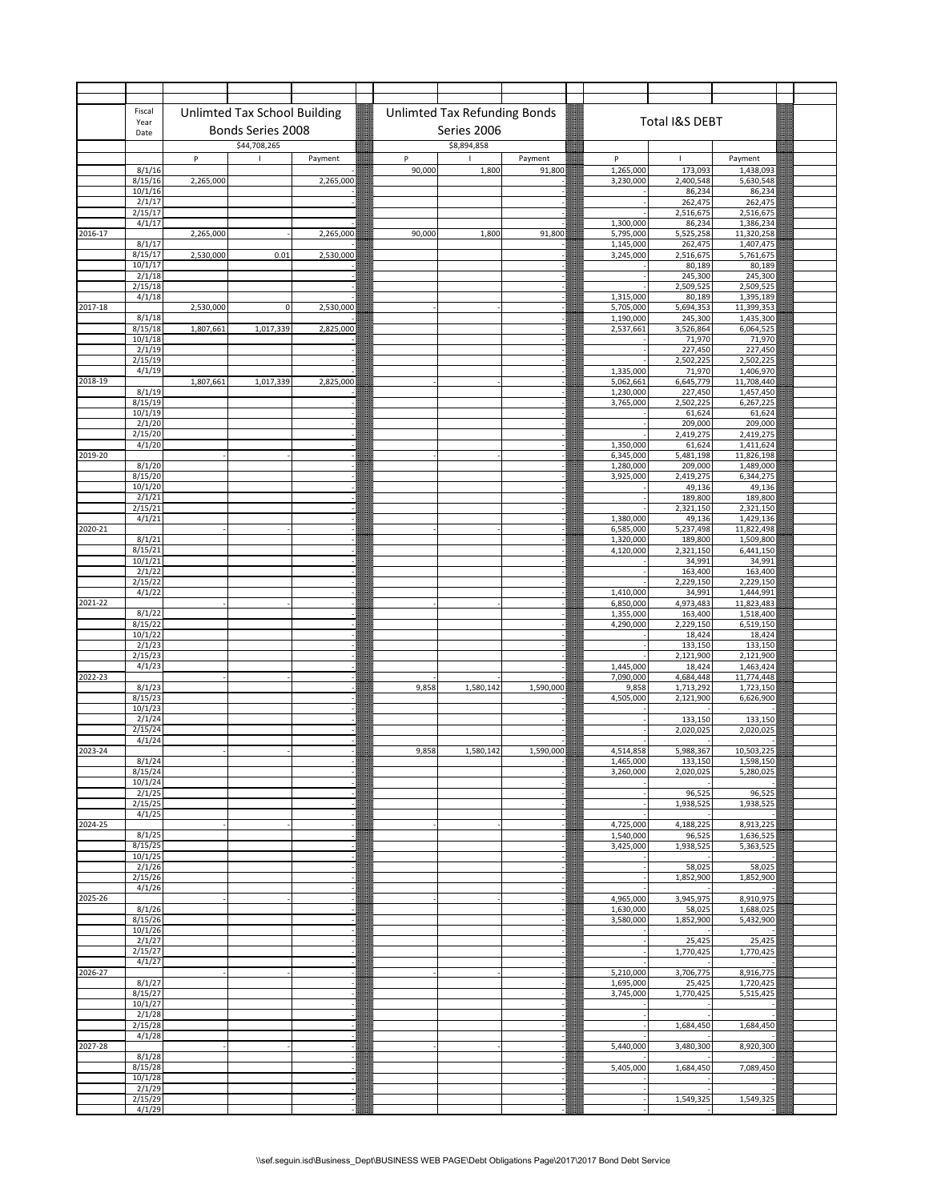|             | Fiscal                      |           |                              |           |             |                                     |           |                        |                        |                        |  |
|-------------|-----------------------------|-----------|------------------------------|-----------|-------------|-------------------------------------|-----------|------------------------|------------------------|------------------------|--|
|             | Year                        |           | Unlimted Tax School Building |           |             | <b>Unlimted Tax Refunding Bonds</b> |           |                        | Total I&S DEBT         |                        |  |
|             | Date                        |           | Bonds Series 2008            |           |             | Series 2006                         |           |                        |                        |                        |  |
|             |                             |           | \$44,708,265                 |           |             | \$8,894,858                         |           |                        |                        |                        |  |
|             | 8/1/16                      | P         |                              | Payment   | P<br>90,000 |                                     | Payment   | P                      | 173,093                | Payment                |  |
|             | 8/15/16                     | 2,265,000 |                              | 2,265,000 |             | 1,800                               | 91,800    | 1,265,000<br>3,230,000 | 2,400,548              | 1,438,093<br>5,630,548 |  |
|             | 10/1/16                     |           |                              |           |             |                                     |           |                        | 86,234                 | 86,234                 |  |
|             | 2/1/17<br>2/15/17           |           |                              |           |             |                                     |           |                        | 262,475<br>2,516,675   | 262,475<br>2,516,675   |  |
|             | 4/1/17                      |           |                              |           |             |                                     |           | 1,300,000              | 86,234                 | 1,386,234              |  |
| 2016-17     |                             | 2,265,000 |                              | 2,265,000 | 90,000      | 1,800                               | 91,800    | 5,795,000              | 5,525,258              | 11,320,258             |  |
|             | 8/1/17<br>8/15/17           | 2,530,000 | 0.01                         | 2,530,000 |             |                                     |           | 1,145,000<br>3,245,000 | 262,475<br>2,516,675   | 1,407,475<br>5,761,675 |  |
|             | 10/1/17                     |           |                              |           |             |                                     |           |                        | 80,189                 | 80,189                 |  |
|             | 2/1/18<br>2/15/18           |           |                              |           |             |                                     |           |                        | 245,300<br>2,509,525   | 245,300<br>2,509,525   |  |
|             | 4/1/18                      |           |                              |           |             |                                     |           | 1,315,000              | 80,189                 | 1,395,189              |  |
| 2017-18     |                             | 2,530,000 | $\mathbf 0$                  | 2,530,000 |             |                                     |           | 5,705,000              | 5,694,353              | 11,399,353             |  |
|             | 8/1/18<br>8/15/18           | 1,807,661 | 1,017,339                    | 2,825,000 |             |                                     |           | 1,190,000<br>2,537,661 | 245,300<br>3,526,864   | 1,435,300<br>6,064,525 |  |
|             | 10/1/18                     |           |                              |           |             |                                     |           |                        | 71,970                 | 71,970                 |  |
|             | 2/1/19<br>2/15/19           |           |                              |           |             |                                     |           |                        | 227,450<br>2,502,225   | 227,450<br>2,502,225   |  |
|             | 4/1/19                      |           |                              |           |             |                                     |           | 1,335,000              | 71,970                 | 1,406,970              |  |
| 2018-19     |                             | 1,807,661 | 1,017,339                    | 2,825,000 |             |                                     |           | 5,062,661              | 6,645,779              | 11,708,440             |  |
|             | 8/1/19<br>8/15/19           |           |                              |           |             |                                     |           | 1,230,000<br>3,765,000 | 227,450<br>2,502,225   | 1,457,450<br>6,267,225 |  |
|             | 10/1/19                     |           |                              |           |             |                                     |           |                        | 61,624                 | 61,624                 |  |
|             | 2/1/20<br>2/15/20           |           |                              |           |             |                                     |           |                        | 209,000<br>2,419,275   | 209,000<br>2,419,275   |  |
|             | 4/1/20                      |           |                              |           |             |                                     |           | 1,350,000              | 61,624                 | 1,411,624              |  |
| 2019-20     |                             |           |                              |           |             |                                     |           | 6,345,000              | 5,481,198              | 11,826,198             |  |
|             | 8/1/20<br>8/15/20           |           |                              |           |             |                                     |           | 1,280,000<br>3,925,000 | 209,000<br>2,419,275   | 1,489,000<br>6,344,275 |  |
|             | 10/1/20                     |           |                              |           |             |                                     |           |                        | 49,136                 | 49,136                 |  |
|             | 2/1/21<br>2/15/21           |           |                              |           |             |                                     |           |                        | 189,800<br>2,321,150   | 189,800<br>2,321,150   |  |
|             | 4/1/21                      |           |                              |           |             |                                     |           | 1,380,000              | 49,136                 | 1,429,136              |  |
| 2020-21     |                             |           |                              |           |             |                                     |           | 6,585,000              | 5,237,498              | 11,822,498             |  |
|             | 8/1/21<br>8/15/21           |           |                              |           |             |                                     |           | 1,320,000<br>4,120,000 | 189,800<br>2,321,150   | 1,509,800<br>6,441,150 |  |
|             | 10/1/21                     |           |                              |           |             |                                     |           |                        | 34,991                 | 34,991                 |  |
|             | 2/1/22                      |           |                              |           |             |                                     |           |                        | 163,400                | 163,400                |  |
|             | 2/15/22<br>4/1/22           |           |                              |           |             |                                     |           | 1,410,000              | 2,229,150<br>34,991    | 2,229,150<br>1,444,991 |  |
| 2021-22     |                             |           |                              |           |             |                                     |           | 6,850,000              | 4,973,483              | 11,823,483             |  |
|             | 8/1/22<br>8/15/22           |           |                              |           |             |                                     |           | 1,355,000<br>4,290,000 | 163,400<br>2,229,150   | 1,518,400<br>6,519,150 |  |
|             | 10/1/22                     |           |                              |           |             |                                     |           |                        | 18,424                 | 18,424                 |  |
|             | 2/1/23                      |           |                              |           |             |                                     |           |                        | 133,150                | 133,150                |  |
|             | 2/15/23<br>4/1/23           |           |                              |           |             |                                     |           | 1,445,000              | 2,121,900<br>18,424    | 2,121,900<br>1,463,424 |  |
| 2022-23     |                             |           |                              |           |             |                                     |           | 7,090,000              | 4,684,448              | 11,774,448             |  |
|             | 8/1/23<br>8/15/23           |           |                              |           | 9,858       | 1,580,142                           | 1,590,000 | 9,858<br>4,505,000     | 1,713,292<br>2,121,900 | 1,723,150<br>6,626,900 |  |
|             | 10/1/23                     |           |                              |           |             |                                     |           |                        |                        |                        |  |
|             | 2/1/24                      |           |                              |           |             |                                     |           |                        | 133,150<br>2,020,025   | 133,150                |  |
|             | 2/15/24<br>4/1/24           |           |                              |           |             |                                     |           |                        |                        | 2,020,025              |  |
| $2023 - 24$ |                             |           |                              |           | 9,858       | 1,580,142                           | 1,590,000 | 4,514,858              | 5,988,367              | 10,503,225             |  |
|             | 8/1/24<br>8/15/24           |           |                              |           |             |                                     |           | 1.465.000<br>3,260,000 | 133.150<br>2,020,025   | 1.598.150<br>5,280,025 |  |
|             | 10/1/24                     |           |                              |           |             |                                     |           |                        |                        |                        |  |
|             | 2/1/25<br>2/15/25           |           |                              |           |             |                                     |           |                        | 96,525<br>1,938,525    | 96,525<br>1,938,525    |  |
|             | 4/1/25                      |           |                              |           |             |                                     |           |                        |                        |                        |  |
| 2024-25     |                             |           |                              |           |             |                                     |           | 4,725,000              | 4,188,225              | 8,913,225              |  |
|             | 8/1/25<br>8/15/25           |           |                              |           |             |                                     |           | 1,540,000<br>3,425,000 | 96,525<br>1,938,525    | 1,636,525<br>5,363,525 |  |
|             | 10/1/25                     |           |                              |           |             |                                     |           |                        |                        |                        |  |
|             | 2/1/26<br>2/15/26           |           |                              |           |             |                                     |           |                        | 58,025<br>1,852,900    | 58,025                 |  |
|             | 4/1/26                      |           |                              |           |             |                                     |           |                        |                        | 1,852,900              |  |
| 2025-26     |                             |           |                              |           |             |                                     |           | 4,965,000              | 3,945,975              | 8,910,975              |  |
|             | 8/1/26<br>8/15/26           |           |                              |           |             |                                     |           | 1,630,000<br>3,580,000 | 58,025<br>1,852,900    | 1,688,025<br>5,432,900 |  |
|             | 10/1/26                     |           |                              |           |             |                                     |           |                        |                        |                        |  |
|             | 2/1/27                      |           |                              |           |             |                                     |           |                        | 25,425                 | 25,425                 |  |
|             | $\frac{2}{15/27}$<br>4/1/27 |           |                              |           |             |                                     |           |                        | 1,770,425              | 1,770,425              |  |
| 2026-27     |                             |           |                              |           |             |                                     |           | 5,210,000              | 3,706,775              | 8,916,775              |  |
|             | 8/1/27<br>8/15/27           |           |                              |           |             |                                     |           | 1,695,000<br>3,745,000 | 25,425<br>1,770,425    | 1,720,425<br>5,515,425 |  |
|             | 10/1/27                     |           |                              |           |             |                                     |           |                        |                        |                        |  |
|             | 2/1/28                      |           |                              |           |             |                                     |           |                        |                        |                        |  |
|             | 2/15/28<br>4/1/28           |           |                              |           |             |                                     |           |                        | 1,684,450              | 1,684,450              |  |
| 2027-28     |                             |           |                              |           |             |                                     |           | 5,440,000              | 3,480,300              | 8,920,300              |  |
|             | 8/1/28<br>8/15/28           |           |                              |           |             |                                     |           | 5,405,000              | 1,684,450              | 7,089,450              |  |
|             | 10/1/28                     |           |                              |           |             |                                     |           |                        |                        |                        |  |
|             | 2/1/29                      |           |                              |           |             |                                     |           |                        |                        |                        |  |
|             | 2/15/29<br>4/1/29           |           |                              |           |             |                                     |           |                        | 1,549,325              | 1,549,325              |  |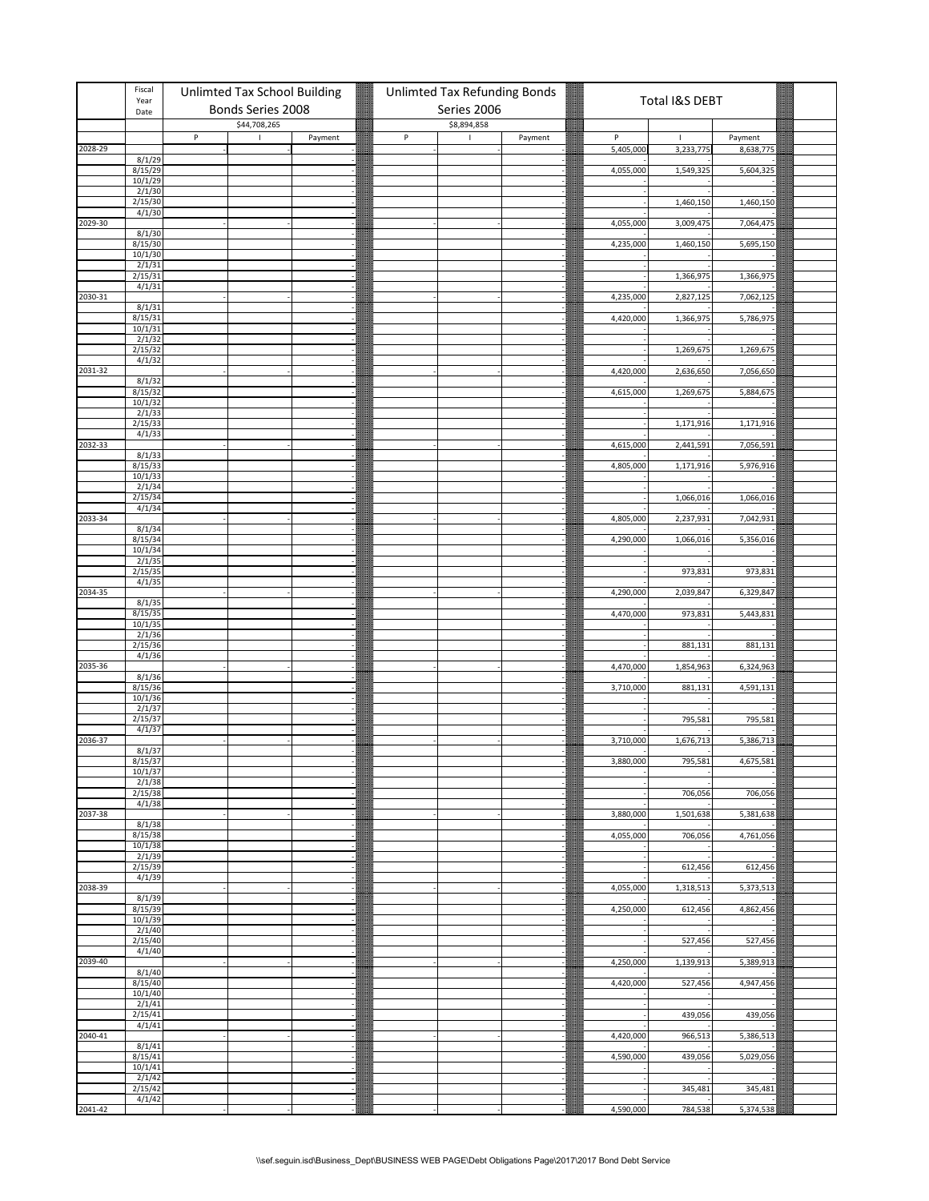|         | Fiscal<br>Year           |   | <b>Unlimted Tax School Building</b><br>Bonds Series 2008<br>\$44,708,265 |         |  |         | Unlimted Tax Refunding Bonds |         |           | Total I&S DEBT |           |  |
|---------|--------------------------|---|--------------------------------------------------------------------------|---------|--|---------|------------------------------|---------|-----------|----------------|-----------|--|
|         | Date                     |   |                                                                          |         |  |         | Series 2006<br>\$8,894,858   |         |           |                |           |  |
|         |                          | P | $\mathbf{I}$                                                             | Payment |  | $\sf P$ | $\blacksquare$               | Payment | P         | $\mathbf{I}$   | Payment   |  |
| 2028-29 |                          |   |                                                                          |         |  |         |                              |         | 5,405,000 | 3,233,775      | 8,638,775 |  |
|         | 8/1/29<br>8/15/29        |   |                                                                          |         |  |         |                              |         | 4,055,000 | 1,549,325      | 5,604,325 |  |
|         | $\frac{10/1/29}{2/1/30}$ |   |                                                                          |         |  |         |                              |         |           |                |           |  |
|         | 2/15/30                  |   |                                                                          |         |  |         |                              |         |           |                |           |  |
|         | 4/1/30                   |   |                                                                          |         |  |         |                              |         |           | 1,460,150      | 1,460,150 |  |
| 2029-30 |                          |   |                                                                          |         |  |         |                              |         | 4,055,000 | 3,009,475      | 7,064,475 |  |
|         | 8/1/30<br>8/15/30        |   |                                                                          |         |  |         |                              |         | 4,235,000 | 1,460,150      | 5,695,150 |  |
|         | 10/1/30                  |   |                                                                          |         |  |         |                              |         |           |                |           |  |
|         | 2/1/31<br>2/15/31        |   |                                                                          |         |  |         |                              |         |           | 1,366,975      | 1,366,975 |  |
|         | 4/1/31                   |   |                                                                          |         |  |         |                              |         |           |                |           |  |
| 2030-31 | 8/1/31                   |   |                                                                          |         |  |         |                              |         | 4,235,000 | 2,827,125      | 7,062,125 |  |
|         | 8/15/31                  |   |                                                                          |         |  |         |                              |         | 4,420,000 | 1,366,975      | 5,786,975 |  |
|         | 10/1/31<br>2/1/32        |   |                                                                          |         |  |         |                              |         |           |                |           |  |
|         | 2/15/32                  |   |                                                                          |         |  |         |                              |         |           | 1,269,675      | 1,269,675 |  |
| 2031-32 | 4/1/32                   |   |                                                                          |         |  |         |                              |         | 4,420,000 | 2,636,650      | 7,056,650 |  |
|         | 8/1/32                   |   |                                                                          |         |  |         |                              |         |           |                |           |  |
|         | 8/15/32                  |   |                                                                          |         |  |         |                              |         | 4,615,000 | 1,269,675      | 5,884,675 |  |
|         | 10/1/32<br>2/1/33        |   |                                                                          |         |  |         |                              |         |           |                |           |  |
|         | 2/15/33                  |   |                                                                          |         |  |         |                              |         |           | 1,171,916      | 1,171,916 |  |
| 2032-33 | 4/1/33                   |   |                                                                          |         |  |         |                              |         | 4,615,000 | 2,441,591      | 7,056,591 |  |
|         | 8/1/33                   |   |                                                                          |         |  |         |                              |         |           |                |           |  |
|         | 8/15/33<br>10/1/33       |   |                                                                          |         |  |         |                              |         | 4,805,000 | 1,171,916      | 5,976,916 |  |
|         | 2/1/34                   |   |                                                                          |         |  |         |                              |         |           |                |           |  |
|         | 2/15/34<br>4/1/34        |   |                                                                          |         |  |         |                              |         |           | 1,066,016      | 1,066,016 |  |
| 2033-34 |                          |   |                                                                          |         |  |         |                              |         | 4,805,000 | 2,237,931      | 7,042,931 |  |
|         | 8/1/34<br>8/15/34        |   |                                                                          |         |  |         |                              |         | 4,290,000 |                | 5,356,016 |  |
|         | 10/1/34                  |   |                                                                          |         |  |         |                              |         |           | 1,066,016      |           |  |
|         | 2/1/35                   |   |                                                                          |         |  |         |                              |         |           |                |           |  |
|         | 2/15/35<br>4/1/35        |   |                                                                          |         |  |         |                              |         |           | 973,831        | 973,831   |  |
| 2034-35 |                          |   |                                                                          |         |  |         |                              |         | 4,290,000 | 2,039,847      | 6,329,847 |  |
|         | 8/1/35<br>8/15/35        |   |                                                                          |         |  |         |                              |         | 4,470,000 | 973,831        | 5,443,831 |  |
|         | 10/1/35                  |   |                                                                          |         |  |         |                              |         |           |                |           |  |
|         | 2/1/36<br>2/15/36        |   |                                                                          |         |  |         |                              |         |           |                |           |  |
|         | 4/1/36                   |   |                                                                          |         |  |         |                              |         |           | 881,131        | 881,131   |  |
| 2035-36 |                          |   |                                                                          |         |  |         |                              |         | 4,470,000 | 1,854,963      | 6,324,963 |  |
|         | $\frac{8}{15/36}$        |   |                                                                          |         |  |         |                              |         | 3,710,000 | 881,131        | 4,591,131 |  |
|         | 10/1/36                  |   |                                                                          |         |  |         |                              |         |           |                |           |  |
|         | 2/1/37<br>2/15/37        |   |                                                                          |         |  |         |                              |         |           | 795,581        | 795,581   |  |
|         | 4/1/37                   |   |                                                                          |         |  |         |                              |         |           |                |           |  |
| 2036-37 | 8/1/37                   |   |                                                                          |         |  |         |                              |         | 3,710,000 | 1,676,713      | 5,386,713 |  |
|         | 8/15/37                  |   |                                                                          |         |  |         |                              |         | 3.880.000 | 795.581        | 4.675.581 |  |
|         | 10/1/37<br>2/1/38        |   |                                                                          |         |  |         |                              |         |           |                |           |  |
|         | 2/15/38                  |   |                                                                          |         |  |         |                              |         |           | 706,056        | 706,056   |  |
| 2037-38 | 4/1/38                   |   |                                                                          |         |  |         |                              |         | 3,880,000 | 1,501,638      | 5,381,638 |  |
|         | 8/1/38                   |   |                                                                          |         |  |         |                              |         |           |                |           |  |
|         | 8/15/38<br>10/1/38       |   |                                                                          |         |  |         |                              |         | 4,055,000 | 706,056        | 4,761,056 |  |
|         | 2/1/39                   |   |                                                                          |         |  |         |                              |         |           |                |           |  |
|         | 2/15/39<br>4/1/39        |   |                                                                          |         |  |         |                              |         |           | 612,456        | 612,456   |  |
| 2038-39 |                          |   |                                                                          |         |  |         |                              |         | 4,055,000 | 1,318,513      | 5,373,513 |  |
|         | 8/1/39                   |   |                                                                          |         |  |         |                              |         |           |                |           |  |
|         | 8/15/39<br>10/1/39       |   |                                                                          |         |  |         |                              |         | 4,250,000 | 612,456        | 4,862,456 |  |
|         | 2/1/40                   |   |                                                                          |         |  |         |                              |         |           |                |           |  |
|         | 2/15/40<br>4/1/40        |   |                                                                          |         |  |         |                              |         |           | 527,456        | 527,456   |  |
| 2039-40 |                          |   |                                                                          |         |  |         |                              |         | 4,250,000 | 1,139,913      | 5,389,913 |  |
|         | 8/1/40<br>8/15/40        |   |                                                                          |         |  |         |                              |         | 4,420,000 | 527,456        | 4,947,456 |  |
|         | 10/1/40                  |   |                                                                          |         |  |         |                              |         |           |                |           |  |
|         | 2/1/41                   |   |                                                                          |         |  |         |                              |         |           |                |           |  |
|         | 2/15/41<br>4/1/41        |   |                                                                          |         |  |         |                              |         |           | 439,056        | 439,056   |  |
| 2040-41 |                          |   |                                                                          |         |  |         |                              |         | 4,420,000 | 966,513        | 5,386,513 |  |
|         | 8/1/41<br>8/15/41        |   |                                                                          |         |  |         |                              |         | 4,590,000 | 439,056        | 5,029,056 |  |
|         | 10/1/41                  |   |                                                                          |         |  |         |                              |         |           |                |           |  |
|         | 2/1/42<br>2/15/42        |   |                                                                          |         |  |         |                              |         |           | 345,481        | 345,481   |  |
|         | 4/1/42                   |   |                                                                          |         |  |         |                              |         |           |                |           |  |
| 2041-42 |                          |   |                                                                          |         |  |         |                              |         | 4,590,000 | 784,538        | 5,374,538 |  |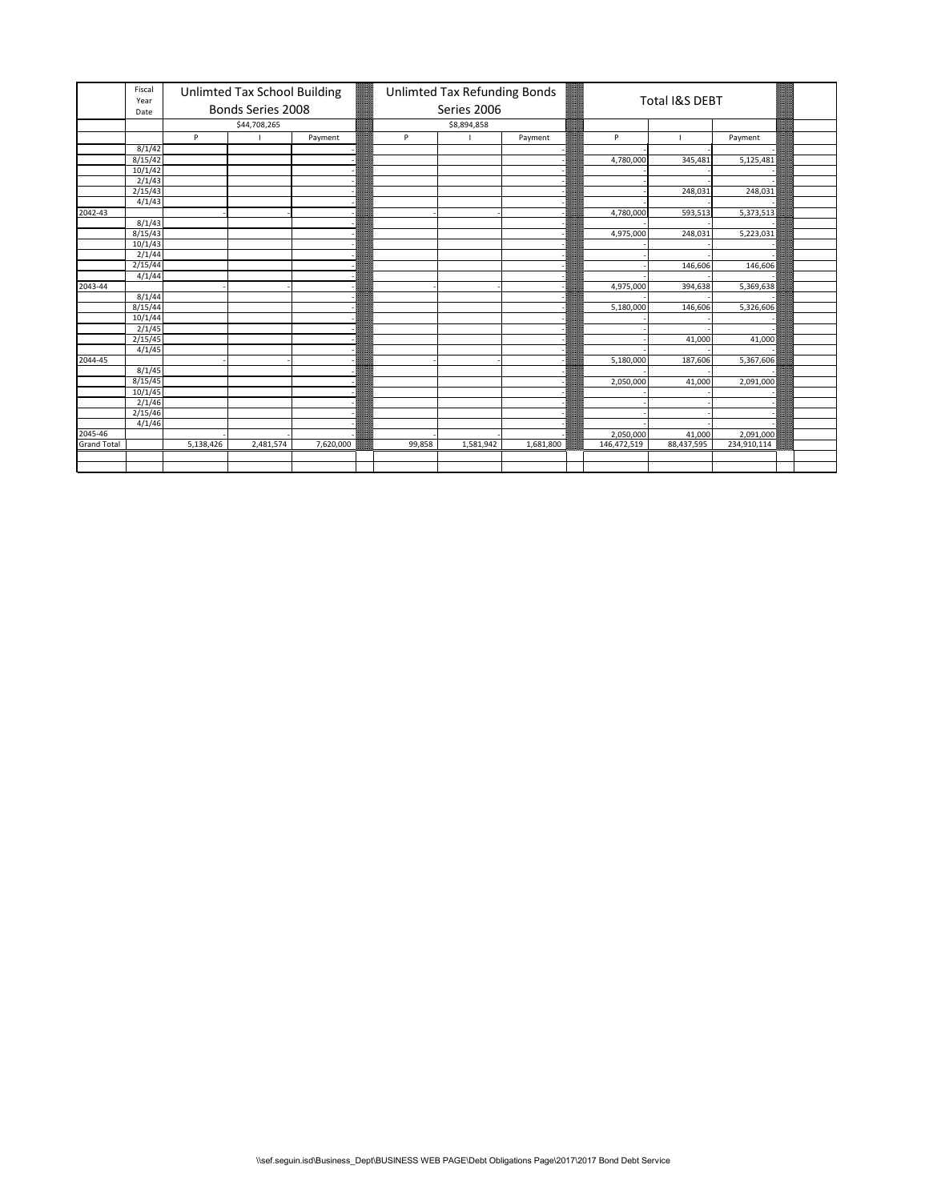|                    | Fiscal<br>Year     |           | Unlimted Tax School Building |           |        | Unlimted Tax Refunding Bonds |           |             | Total I&S DEBT |             |  |
|--------------------|--------------------|-----------|------------------------------|-----------|--------|------------------------------|-----------|-------------|----------------|-------------|--|
|                    | Date               |           | Bonds Series 2008            |           |        | Series 2006                  |           |             |                |             |  |
|                    |                    |           | \$44,708,265                 |           |        | \$8,894,858                  |           |             |                |             |  |
|                    |                    | P         |                              | Payment   | P      |                              | Payment   | P           |                | Payment     |  |
|                    | 8/1/42             |           |                              |           |        |                              |           |             |                |             |  |
|                    | 8/15/42            |           |                              |           |        |                              |           | 4,780,000   | 345,481        | 5,125,481   |  |
|                    | 10/1/42            |           |                              |           |        |                              |           |             |                |             |  |
|                    | 2/1/43             |           |                              |           |        |                              |           |             |                |             |  |
|                    | 2/15/43            |           |                              |           |        |                              |           |             | 248,031        | 248,031     |  |
|                    | 4/1/43             |           |                              |           |        |                              |           |             |                |             |  |
| 2042-43            |                    |           |                              |           |        |                              |           | 4,780,000   | 593,513        | 5,373,513   |  |
|                    | 8/1/43             |           |                              |           |        |                              |           |             |                |             |  |
|                    | 8/15/43            |           |                              |           |        |                              |           | 4,975,000   | 248,031        | 5,223,031   |  |
|                    | 10/1/43            |           |                              |           |        |                              |           |             |                |             |  |
|                    | 2/1/44             |           |                              |           |        |                              |           |             |                |             |  |
|                    | $\frac{2}{15}{44}$ |           |                              |           |        |                              |           |             | 146,606        | 146,606     |  |
|                    | 4/1/44             |           |                              |           |        |                              |           |             |                |             |  |
| 2043-44            |                    |           |                              |           |        |                              |           | 4,975,000   | 394,638        | 5,369,638   |  |
|                    | 8/1/44             |           |                              |           |        |                              |           |             |                |             |  |
|                    | 8/15/44            |           |                              |           |        |                              |           | 5,180,000   | 146,606        | 5,326,606   |  |
|                    | 10/1/44            |           |                              |           |        |                              |           |             |                |             |  |
|                    | 2/1/45             |           |                              |           |        |                              |           |             |                |             |  |
|                    | 2/15/45            |           |                              |           |        |                              |           |             | 41,000         | 41,000      |  |
|                    | 4/1/45             |           |                              |           |        |                              |           |             |                |             |  |
| 2044-45            |                    |           |                              |           |        |                              |           | 5,180,000   | 187,606        | 5,367,606   |  |
|                    | 8/1/45             |           |                              |           |        |                              |           |             |                |             |  |
|                    | 8/15/45            |           |                              |           |        |                              |           | 2,050,000   | 41,000         | 2,091,000   |  |
|                    | 10/1/45            |           |                              |           |        |                              |           |             |                |             |  |
|                    | 2/1/46             |           |                              |           |        |                              |           |             |                |             |  |
|                    | 2/15/46            |           |                              |           |        |                              |           |             |                |             |  |
|                    | 4/1/46             |           |                              |           |        |                              |           |             |                |             |  |
| 2045-46            |                    |           |                              |           |        |                              |           | 2,050,000   | 41,000         | 2,091,000   |  |
| <b>Grand Total</b> |                    | 5,138,426 | 2,481,574                    | 7,620,000 | 99,858 | 1,581,942                    | 1,681,800 | 146,472,519 | 88,437,595     | 234,910,114 |  |
|                    |                    |           |                              |           |        |                              |           |             |                |             |  |
|                    |                    |           |                              |           |        |                              |           |             |                |             |  |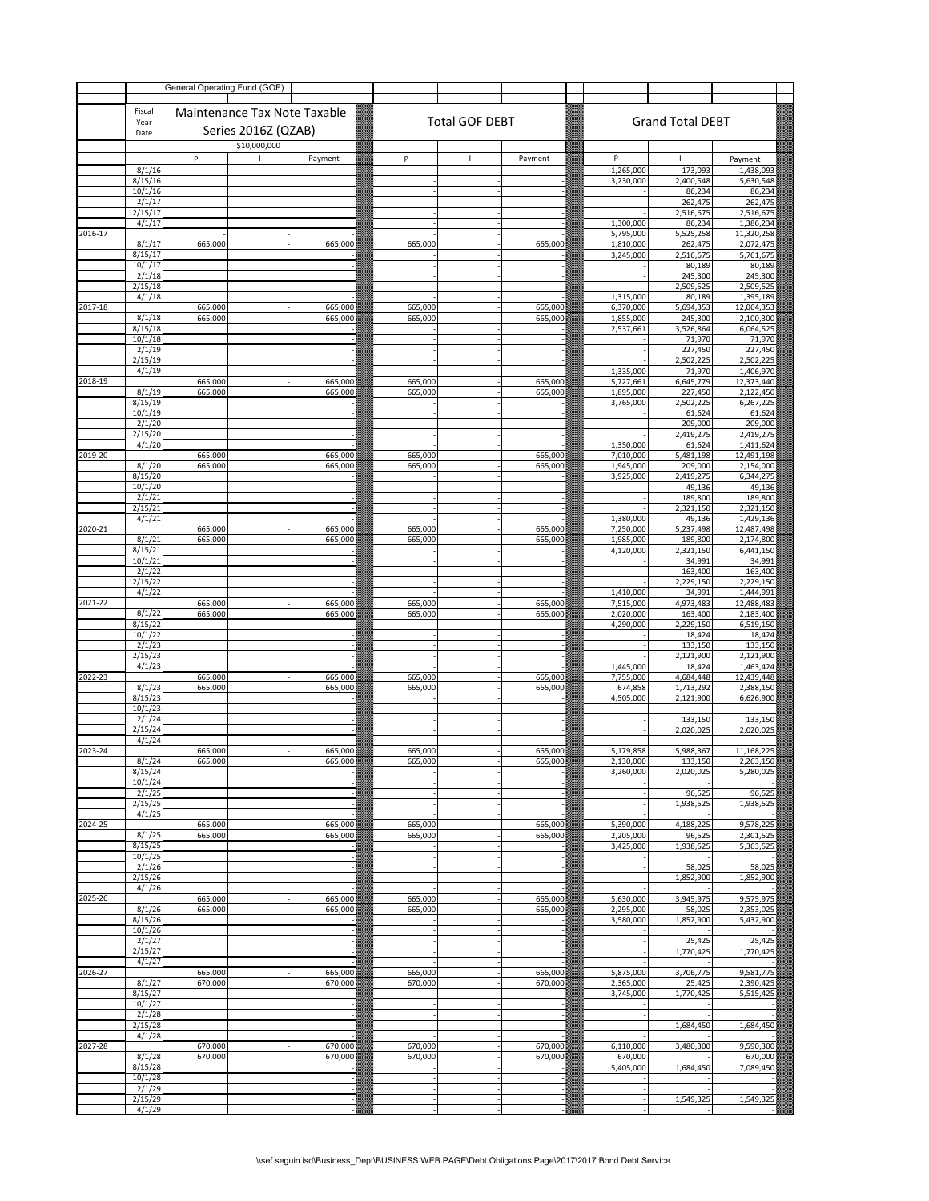|         |                    | General Operating Fund (GOF) |                              |                    |                    |                       |                    |                        |                         |                         |
|---------|--------------------|------------------------------|------------------------------|--------------------|--------------------|-----------------------|--------------------|------------------------|-------------------------|-------------------------|
|         | Fiscal             |                              | Maintenance Tax Note Taxable |                    |                    |                       |                    |                        |                         |                         |
|         | Year<br>Date       |                              | Series 2016Z (QZAB)          |                    |                    | <b>Total GOF DEBT</b> |                    |                        | <b>Grand Total DEBT</b> |                         |
|         |                    |                              | \$10,000,000                 |                    |                    |                       |                    |                        |                         |                         |
|         | 8/1/16             | P                            | $\overline{1}$               | Payment            | P                  | $\mathbf{I}$          | Payment            | P<br>1,265,000         | 173,093                 | Payment<br>1,438,093    |
|         | 8/15/16            |                              |                              |                    |                    |                       |                    | 3,230,000              | 2,400,548               | 5,630,548               |
|         | 10/1/16<br>2/1/17  |                              |                              |                    |                    |                       |                    |                        | 86,234<br>262,475       | 86,234<br>262,475       |
|         | 2/15/17            |                              |                              |                    |                    |                       |                    |                        | 2,516,675               | 2,516,675               |
| 2016-17 | 4/1/17             |                              |                              |                    |                    |                       |                    | 1,300,000<br>5,795,000 | 86,234<br>5,525,258     | 1,386,234<br>11,320,258 |
|         | 8/1/17<br>8/15/17  | 665,000                      |                              | 665,000            | 665,000            |                       | 665,000            | 1,810,000              | 262,475<br>2,516,675    | 2,072,475<br>5,761,675  |
|         | 10/1/17            |                              |                              |                    |                    |                       |                    | 3,245,000              | 80,189                  | 80,189                  |
|         | 2/1/18<br>2/15/18  |                              |                              |                    |                    |                       |                    |                        | 245,300<br>2,509,525    | 245,300<br>2,509,525    |
|         | 4/1/18             |                              |                              |                    |                    |                       |                    | 1,315,000              | 80,189                  | 1,395,189               |
| 2017-18 | 8/1/18             | 665,000<br>665,000           |                              | 665,000<br>665,000 | 665,000<br>665,000 |                       | 665,000<br>665,000 | 6,370,000<br>1,855,000 | 5,694,353<br>245,300    | 12,064,353<br>2,100,300 |
|         | 8/15/18            |                              |                              |                    |                    |                       |                    | 2,537,661              | 3,526,864               | 6,064,525               |
|         | 10/1/18<br>2/1/19  |                              |                              |                    |                    |                       |                    |                        | 71,970<br>227,450       | 71,970<br>227,450       |
|         | 2/15/19            |                              |                              |                    |                    |                       |                    |                        | 2,502,225               | 2,502,225               |
| 2018-19 | 4/1/19             | 665,000                      |                              | 665,000            | 665,000            |                       | 665,000            | 1,335,000<br>5,727,661 | 71,970<br>6,645,779     | 1,406,970<br>12,373,440 |
|         | 8/1/19<br>8/15/19  | 665,000                      |                              | 665,000            | 665,000            |                       | 665,000            | 1,895,000<br>3,765,000 | 227,450<br>2,502,225    | 2,122,450<br>6,267,225  |
|         | 10/1/19            |                              |                              |                    |                    |                       |                    |                        | 61,624                  | 61,624                  |
|         | 2/1/20<br>2/15/20  |                              |                              |                    |                    |                       |                    |                        | 209,000<br>2,419,275    | 209,000<br>2,419,275    |
|         | 4/1/20             |                              |                              |                    |                    |                       |                    | 1,350,000              | 61,624                  | 1,411,624               |
| 2019-20 | 8/1/20             | 665,000<br>665,000           |                              | 665,000<br>665,000 | 665,000<br>665,000 |                       | 665,000<br>665,000 | 7,010,000<br>1,945,000 | 5,481,198<br>209,000    | 12,491,198<br>2,154,000 |
|         | 8/15/20<br>10/1/20 |                              |                              |                    |                    |                       |                    | 3,925,000              | 2,419,275<br>49,136     | 6,344,275<br>49,136     |
|         | 2/1/21             |                              |                              |                    |                    |                       |                    |                        | 189,800                 | 189,800                 |
|         | 2/15/21<br>4/1/21  |                              |                              |                    |                    |                       |                    | 1,380,000              | 2,321,150<br>49,136     | 2,321,150<br>1,429,136  |
| 2020-21 |                    | 665,000                      |                              | 665,000            | 665,000            |                       | 665,000            | 7,250,000              | 5,237,498               | 12,487,498              |
|         | 8/1/21<br>8/15/21  | 665,000                      |                              | 665,000            | 665,000            |                       | 665,000            | 1,985,000<br>4,120,000 | 189,800<br>2,321,150    | 2,174,800<br>6,441,150  |
|         | 10/1/21            |                              |                              |                    |                    |                       |                    |                        | 34,991                  | 34,991                  |
|         | 2/1/22<br>2/15/22  |                              |                              |                    |                    |                       |                    |                        | 163,400<br>2,229,150    | 163,400<br>2,229,150    |
|         | 4/1/22             |                              |                              |                    |                    |                       |                    | 1,410,000              | 34,991                  | 1,444,991               |
| 2021-22 | 8/1/22             | 665,000<br>665,000           |                              | 665,000<br>665,000 | 665,000<br>665,000 |                       | 665,000<br>665,000 | 7,515,000<br>2,020,000 | 4,973,483<br>163,400    | 12,488,483<br>2,183,400 |
|         | 8/15/22<br>10/1/22 |                              |                              |                    |                    |                       |                    | 4,290,000              | 2,229,150<br>18,424     | 6,519,150<br>18,424     |
|         | 2/1/23             |                              |                              |                    |                    |                       |                    |                        | 133,150                 | 133,150                 |
|         | 2/15/23<br>4/1/23  |                              |                              |                    |                    |                       |                    | 1,445,000              | 2,121,900<br>18,424     | 2,121,900<br>1,463,424  |
| 2022-23 |                    | 665,000                      |                              | 665,000            | 665,000            |                       | 665,000            | 7,755,000              | 4,684,448               | 12,439,448              |
|         | 8/1/23<br>8/15/23  | 665,000                      |                              | 665,000            | 665,000            |                       | 665,000            | 674,858<br>4,505,000   | 1,713,292<br>2,121,900  | 2,388,150<br>6,626,900  |
|         | 10/1/23<br>2/1/24  |                              |                              |                    |                    |                       |                    |                        |                         |                         |
|         | 2/15/24            |                              |                              |                    |                    |                       |                    |                        | 133,150<br>2,020,025    | 133,150<br>2,020,025    |
| 2023-24 | 4/1/24             | 665,000                      |                              | 665,000            | 665,000            |                       | 665,000            | 5,179,858              | 5,988,367               | 11,168,225              |
|         | 8/1/24             | 665,000                      |                              | 665,000            | 665,000            |                       | 665,000            | 2,130,000              | 133,150                 | 2,263,150               |
|         | 8/15/24<br>10/1/24 |                              |                              |                    |                    |                       |                    | 3,260,000              | 2,020,025               | 5,280,025               |
|         | 2/1/25             |                              |                              |                    |                    |                       |                    |                        | 96,525                  | 96,525                  |
|         | 2/15/25<br>4/1/25  |                              |                              |                    |                    |                       |                    |                        | 1,938,525               | 1,938,525               |
| 2024-25 |                    | 665,000                      |                              | 665,000            | 665,000            |                       | 665,000            | 5,390,000<br>2,205,000 | 4,188,225               | 9,578,225               |
|         | 8/1/25<br>8/15/25  | 665,000                      |                              | 665,000            | 665,000            |                       | 665,000            | 3,425,000              | 96,525<br>1,938,525     | 2,301,525<br>5,363,525  |
|         | 10/1/25<br>2/1/26  |                              |                              |                    |                    |                       |                    |                        | 58,025                  | 58,025                  |
|         | 2/15/26            |                              |                              |                    |                    |                       |                    |                        | 1,852,900               | 1,852,900               |
| 2025-26 | 4/1/26             | 665,000                      |                              | 665,000            | 665,000            |                       | 665,000            | 5,630,000              | 3,945,975               | 9,575,975               |
|         | 8/1/26             | 665,000                      |                              | 665,000            | 665,000            |                       | 665,000            | 2,295,000              | 58,025                  | 2,353,025               |
|         | 8/15/26<br>10/1/26 |                              |                              |                    |                    |                       |                    | 3,580,000              | 1,852,900               | 5,432,900               |
|         | 2/1/27             |                              |                              |                    |                    |                       |                    |                        | 25,425<br>1,770,425     | 25,425                  |
|         | 2/15/27<br>4/1/27  |                              |                              |                    |                    |                       |                    |                        |                         | 1,770,425               |
| 2026-27 | 8/1/27             | 665,000<br>670,000           |                              | 665,000<br>670,000 | 665,000<br>670,000 |                       | 665,000<br>670,000 | 5,875,000<br>2,365,000 | 3,706,775<br>25,425     | 9,581,775<br>2,390,425  |
|         | 8/15/27            |                              |                              |                    |                    |                       |                    | 3,745,000              | 1,770,425               | 5,515,425               |
|         | 10/1/27<br>2/1/28  |                              |                              |                    |                    |                       |                    |                        |                         |                         |
|         | 2/15/28            |                              |                              |                    |                    |                       |                    |                        | 1,684,450               | 1,684,450               |
| 2027-28 | 4/1/28             | 670,000                      |                              | 670,000            | 670,000            |                       | 670,000            | 6,110,000              | 3,480,300               | 9,590,300               |
|         | 8/1/28             | 670,000                      |                              | 670,000            | 670,000            |                       | 670,000            | 670,000                |                         | 670,000                 |
|         | 8/15/28<br>10/1/28 |                              |                              |                    |                    |                       |                    | 5,405,000              | 1,684,450               | 7,089,450               |
|         | 2/1/29             |                              |                              |                    |                    |                       |                    |                        |                         |                         |
|         | 2/15/29<br>4/1/29  |                              |                              |                    |                    |                       |                    |                        | 1,549,325               | 1,549,325               |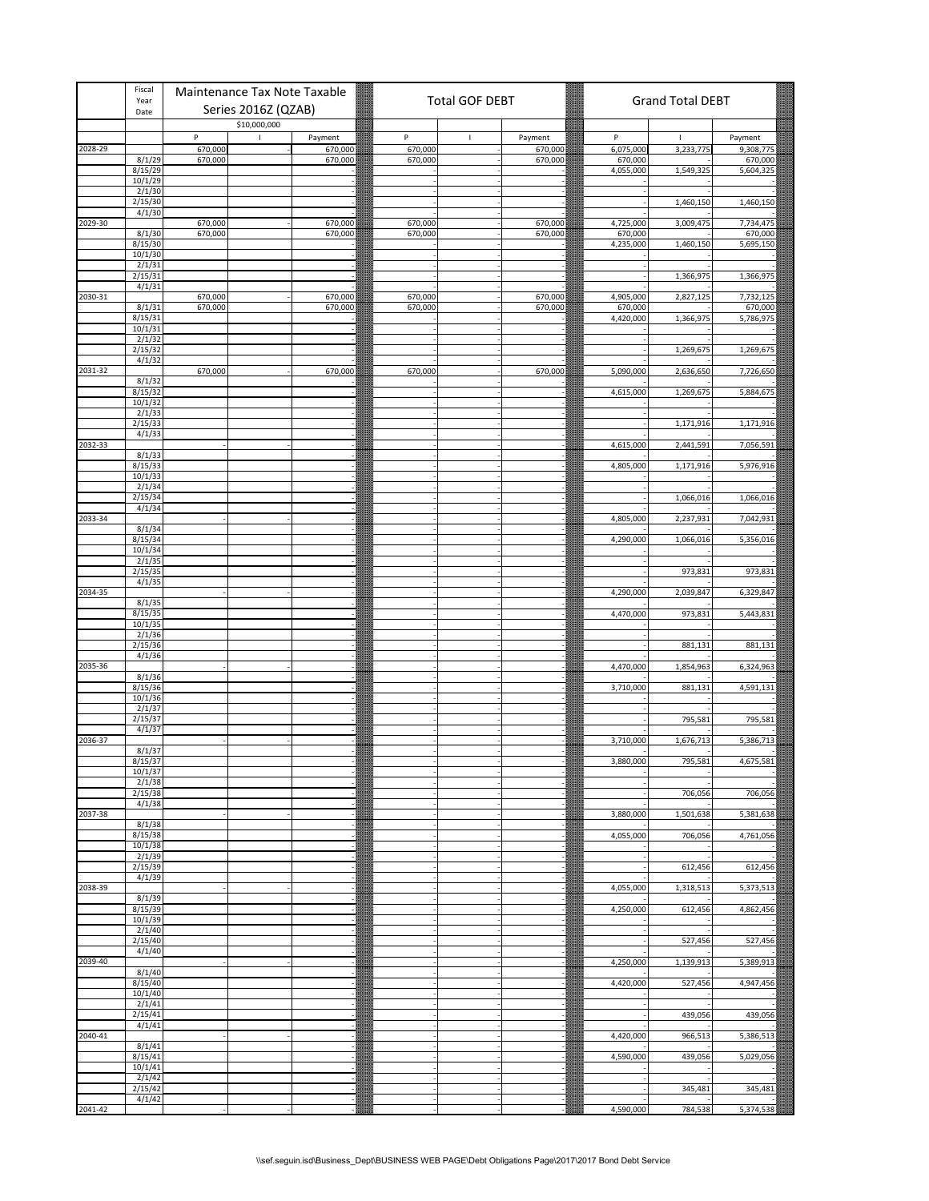|         | Fiscal<br>Year     | Maintenance Tax Note Taxable      |                    |                    | <b>Total GOF DEBT</b> |                    |                      | <b>Grand Total DEBT</b> |                      |
|---------|--------------------|-----------------------------------|--------------------|--------------------|-----------------------|--------------------|----------------------|-------------------------|----------------------|
|         | Date               | Series 2016Z (QZAB)               |                    |                    |                       |                    |                      |                         |                      |
|         |                    | \$10,000,000<br>P<br>$\mathbf{I}$ | Payment            | P                  | -1                    | Payment            | P                    | $\mathbf{I}$            | Payment              |
| 2028-29 |                    | 670,000                           | 670,000            | 670,000            |                       | 670,000            | 6,075,000            | 3,233,775               | 9,308,775            |
|         | 8/1/29             | 670,000                           | 670,000            | 670,000            |                       | 670,000            | 670,000              |                         | 670,000              |
|         | 8/15/29<br>10/1/29 |                                   |                    |                    |                       |                    | 4,055,000            | 1,549,325               | 5,604,325            |
|         | 2/1/30             |                                   |                    |                    |                       |                    |                      |                         |                      |
|         | 2/15/30            |                                   |                    |                    |                       |                    |                      | 1,460,150               | 1,460,150            |
| 2029-30 | 4/1/30             | 670,000                           | 670,000            | 670,000            |                       | 670,000            | 4,725,000            | 3,009,475               | 7,734,475            |
|         | 8/1/30             | 670,000                           | 670,000            | 670,000            |                       | 670,000            | 670,000              |                         | 670,000              |
|         | 8/15/30            |                                   |                    |                    |                       |                    | 4,235,000            | 1,460,150               | 5,695,150            |
|         | 10/1/30<br>2/1/31  |                                   |                    |                    |                       |                    |                      |                         |                      |
|         | 2/15/31            |                                   |                    |                    |                       |                    |                      | 1,366,975               | 1,366,975            |
|         | 4/1/31             |                                   |                    |                    |                       |                    |                      |                         |                      |
| 2030-31 | 8/1/31             | 670,000<br>670,000                | 670,000<br>670,000 | 670,000<br>670,000 |                       | 670,000<br>670,000 | 4,905,000<br>670,000 | 2,827,125               | 7,732,125<br>670,000 |
|         | 8/15/31            |                                   |                    |                    |                       |                    | 4,420,000            | 1,366,975               | 5,786,975            |
|         | 10/1/31            |                                   |                    |                    |                       |                    |                      |                         |                      |
|         | 2/1/32<br>2/15/32  |                                   |                    |                    |                       |                    |                      |                         |                      |
|         | 4/1/32             |                                   |                    |                    |                       |                    |                      | 1,269,675               | 1,269,675            |
| 2031-32 |                    | 670,000                           | 670,000            | 670,000            |                       | 670,000            | 5,090,000            | 2,636,650               | 7,726,650            |
|         | 8/1/32             |                                   |                    |                    |                       |                    |                      |                         |                      |
|         | 8/15/32<br>10/1/32 |                                   |                    |                    |                       |                    | 4,615,000            | 1,269,675               | 5,884,675            |
|         | 2/1/33             |                                   |                    |                    |                       |                    |                      |                         |                      |
|         | 2/15/33            |                                   |                    |                    |                       |                    |                      | 1,171,916               | 1,171,916            |
| 2032-33 | 4/1/33             |                                   |                    |                    |                       |                    | 4,615,000            | 2,441,591               | 7,056,591            |
|         | 8/1/33             |                                   |                    |                    |                       |                    |                      |                         |                      |
|         | 8/15/33            |                                   |                    |                    |                       |                    | 4,805,000            | 1,171,916               | 5,976,916            |
|         | 10/1/33<br>2/1/34  |                                   |                    |                    |                       |                    |                      |                         |                      |
|         | 2/15/34            |                                   |                    |                    |                       |                    |                      | 1,066,016               | 1,066,016            |
|         | 4/1/34             |                                   |                    |                    |                       |                    |                      |                         |                      |
| 2033-34 |                    |                                   |                    |                    |                       |                    | 4,805,000            | 2,237,931               | 7,042,931            |
|         | 8/1/34<br>8/15/34  |                                   |                    |                    |                       |                    | 4,290,000            | 1,066,016               | 5,356,016            |
|         | 10/1/34            |                                   |                    |                    |                       |                    |                      |                         |                      |
|         | 2/1/35             |                                   |                    |                    |                       |                    |                      |                         |                      |
|         | 2/15/35<br>4/1/35  |                                   |                    |                    |                       |                    |                      | 973,831                 | 973,831              |
| 2034-35 |                    |                                   |                    |                    |                       |                    | 4,290,000            | 2,039,847               | 6,329,847            |
|         | 8/1/35             |                                   |                    |                    |                       |                    |                      |                         |                      |
|         | 8/15/35<br>10/1/35 |                                   |                    |                    |                       |                    | 4,470,000            | 973,831                 | 5,443,831            |
|         | 2/1/36             |                                   |                    |                    |                       |                    |                      |                         |                      |
|         | 2/15/36            |                                   |                    |                    |                       |                    |                      | 881,131                 | 881,131              |
| 2035-36 | 4/1/36             |                                   |                    |                    |                       |                    | 4,470,000            | 1,854,963               | 6,324,963            |
|         | 8/1/36             |                                   |                    |                    |                       |                    |                      |                         |                      |
|         | 8/15/36            |                                   |                    |                    |                       |                    | 3,710,000            | 881,131                 | 4,591,131            |
|         | 10/1/36<br>2/1/37  |                                   |                    |                    |                       |                    |                      |                         |                      |
|         | 2/15/37            |                                   |                    |                    |                       |                    |                      | 795,581                 | 795,581              |
|         | 4/1/37             |                                   |                    |                    |                       |                    |                      |                         |                      |
| 2036-37 | 8/1/37             |                                   |                    |                    |                       |                    | 3,710,000            | 1,676,713               | 5,386,713            |
|         | 8/15/37            |                                   |                    |                    |                       |                    | 3.880.000            | 795.581                 | 4.675.581            |
|         | 10/1/37            |                                   |                    |                    |                       |                    |                      |                         |                      |
|         | 2/1/38<br>2/15/38  |                                   |                    |                    |                       |                    |                      | 706,056                 | 706,056              |
|         | 4/1/38             |                                   |                    |                    |                       |                    |                      |                         |                      |
| 2037-38 |                    |                                   |                    |                    |                       |                    | 3,880,000            | 1,501,638               | 5,381,638            |
|         | 8/1/38<br>8/15/38  |                                   |                    |                    |                       |                    | 4,055,000            | 706,056                 | 4,761,056            |
|         | 10/1/38            |                                   |                    |                    |                       |                    |                      |                         |                      |
|         | 2/1/39             |                                   |                    |                    |                       |                    |                      |                         |                      |
|         | 2/15/39<br>4/1/39  |                                   |                    |                    |                       |                    |                      | 612,456                 | 612,456              |
| 2038-39 |                    |                                   |                    |                    |                       |                    | 4,055,000            | 1,318,513               | 5,373,513            |
|         | 8/1/39             |                                   |                    |                    |                       |                    |                      |                         |                      |
|         | 8/15/39<br>10/1/39 |                                   |                    |                    |                       |                    | 4,250,000            | 612,456                 | 4,862,456            |
|         | 2/1/40             |                                   |                    |                    |                       |                    |                      |                         |                      |
|         | 2/15/40            |                                   |                    |                    |                       |                    |                      | 527,456                 | 527,456              |
| 2039-40 | 4/1/40             |                                   |                    |                    |                       |                    | 4,250,000            | 1,139,913               | 5,389,913            |
|         | 8/1/40             |                                   |                    |                    |                       |                    |                      |                         |                      |
|         | 8/15/40            |                                   |                    |                    |                       |                    | 4,420,000            | 527,456                 | 4,947,456            |
|         | 10/1/40            |                                   |                    |                    |                       |                    |                      |                         |                      |
|         | 2/1/41<br>2/15/41  |                                   |                    |                    |                       |                    |                      | 439,056                 | 439,056              |
|         | 4/1/41             |                                   |                    |                    |                       |                    |                      |                         |                      |
| 2040-41 |                    |                                   |                    |                    |                       |                    | 4,420,000            | 966,513                 | 5,386,513            |
|         | 8/1/41<br>8/15/41  |                                   |                    |                    |                       |                    | 4,590,000            | 439,056                 | 5,029,056            |
|         | 10/1/41            |                                   |                    |                    |                       |                    |                      |                         |                      |
|         | 2/1/42             |                                   |                    |                    |                       |                    |                      |                         |                      |
|         | 2/15/42<br>4/1/42  |                                   |                    |                    |                       |                    |                      | 345,481                 | 345,481              |
| 2041-42 |                    |                                   |                    |                    |                       |                    | 4,590,000            | 784,538                 | 5,374,538            |